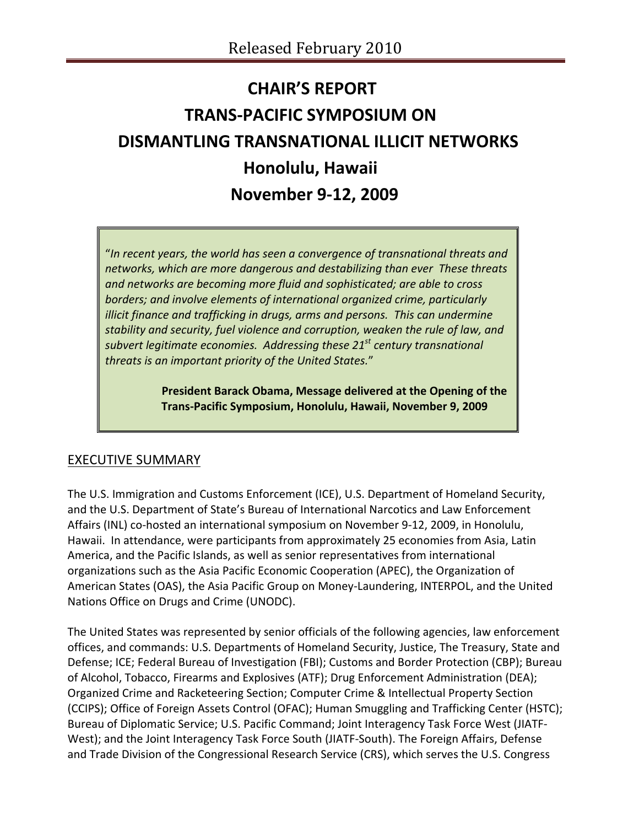# **CHAIR'S REPORT TRANS‐PACIFIC SYMPOSIUM ON DISMANTLING TRANSNATIONAL ILLICIT NETWORKS Honolulu, Hawaii November 9‐12, 2009**

"*In recent years, the world has seen a convergence of transnational threats and networks, which are more dangerous and destabilizing than ever These threats and networks are becoming more fluid and sophisticated; are able to cross borders; and involve elements of international organized crime, particularly illicit finance and trafficking in drugs, arms and persons. This can undermine stability and security, fuel violence and corruption, weaken the rule of law, and subvert legitimate economies. Addressing these 21st century transnational threats is an important priority of the United States.*"

> **President Barack Obama, Message delivered at the Opening of the Trans‐Pacific Symposium, Honolulu, Hawaii, November 9, 2009**

# EXECUTIVE SUMMARY

The U.S. Immigration and Customs Enforcement (ICE), U.S. Department of Homeland Security, and the U.S. Department of State's Bureau of International Narcotics and Law Enforcement Affairs (INL) co-hosted an international symposium on November 9-12, 2009, in Honolulu, Hawaii. In attendance, were participants from approximately 25 economies from Asia, Latin America, and the Pacific Islands, as well as senior representatives from international organizations such as the Asia Pacific Economic Cooperation (APEC), the Organization of American States (OAS), the Asia Pacific Group on Money‐Laundering, INTERPOL, and the United Nations Office on Drugs and Crime (UNODC).

The United States was represented by senior officials of the following agencies, law enforcement offices, and commands: U.S. Departments of Homeland Security, Justice, The Treasury, State and Defense; ICE; Federal Bureau of Investigation (FBI); Customs and Border Protection (CBP); Bureau of Alcohol, Tobacco, Firearms and Explosives (ATF); Drug Enforcement Administration (DEA); Organized Crime and Racketeering Section; Computer Crime & Intellectual Property Section (CCIPS); Office of Foreign Assets Control (OFAC); Human Smuggling and Trafficking Center (HSTC); Bureau of Diplomatic Service; U.S. Pacific Command; Joint Interagency Task Force West (JIATF‐ West); and the Joint Interagency Task Force South (JIATF‐South). The Foreign Affairs, Defense and Trade Division of the Congressional Research Service (CRS), which serves the U.S. Congress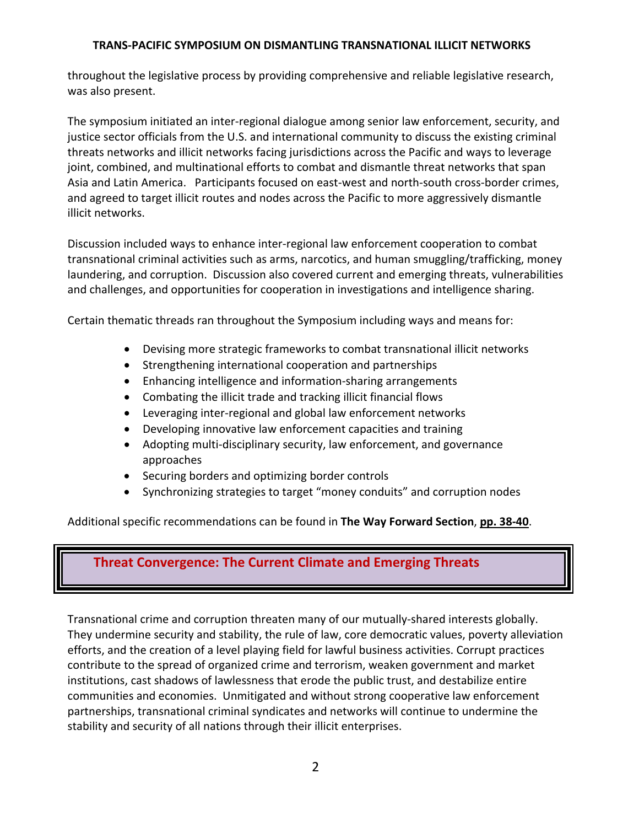throughout the legislative process by providing comprehensive and reliable legislative research, was also present.

The symposium initiated an inter‐regional dialogue among senior law enforcement, security, and justice sector officials from the U.S. and international community to discuss the existing criminal threats networks and illicit networks facing jurisdictions across the Pacific and ways to leverage joint, combined, and multinational efforts to combat and dismantle threat networks that span Asia and Latin America. Participants focused on east‐west and north‐south cross‐border crimes, and agreed to target illicit routes and nodes across the Pacific to more aggressively dismantle illicit networks.

Discussion included ways to enhance inter‐regional law enforcement cooperation to combat transnational criminal activities such as arms, narcotics, and human smuggling/trafficking, money laundering, and corruption. Discussion also covered current and emerging threats, vulnerabilities and challenges, and opportunities for cooperation in investigations and intelligence sharing.

Certain thematic threads ran throughout the Symposium including ways and means for:

- Devising more strategic frameworks to combat transnational illicit networks
- Strengthening international cooperation and partnerships
- Enhancing intelligence and information‐sharing arrangements
- Combating the illicit trade and tracking illicit financial flows
- Leveraging inter-regional and global law enforcement networks
- Developing innovative law enforcement capacities and training
- Adopting multi-disciplinary security, law enforcement, and governance approaches
- Securing borders and optimizing border controls
- Synchronizing strategies to target "money conduits" and corruption nodes

Additional specific recommendations can be found in **The Way Forward Section**, **pp. 38‐40**.

# **Threat Convergence: The Current Climate and Emerging Threats**

Transnational crime and corruption threaten many of our mutually‐shared interests globally. They undermine security and stability, the rule of law, core democratic values, poverty alleviation efforts, and the creation of a level playing field for lawful business activities. Corrupt practices contribute to the spread of organized crime and terrorism, weaken government and market institutions, cast shadows of lawlessness that erode the public trust, and destabilize entire communities and economies. Unmitigated and without strong cooperative law enforcement partnerships, transnational criminal syndicates and networks will continue to undermine the stability and security of all nations through their illicit enterprises.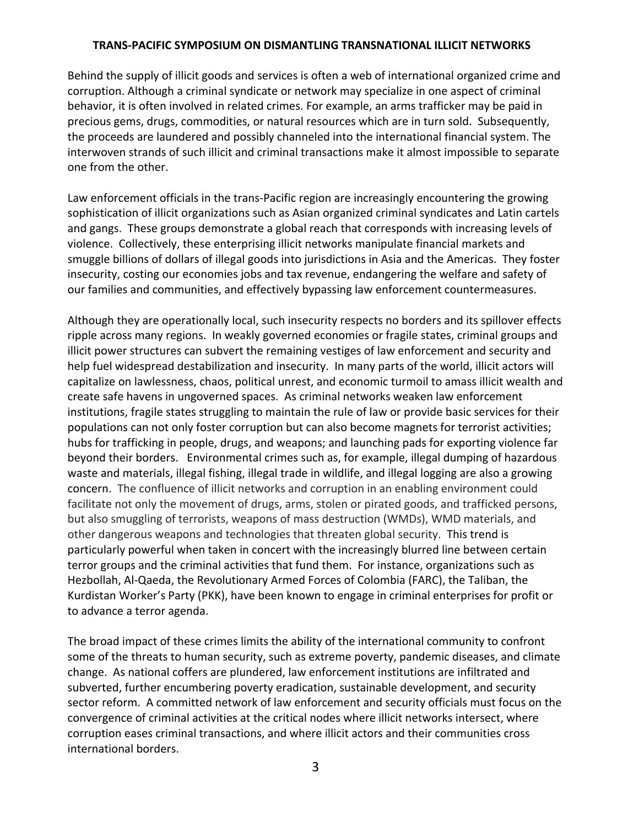Behind the supply of illicit goods and services is often a web of international organized crime and corruption. Although a criminal syndicate or network may specialize in one aspect of criminal behavior, it is often involved in related crimes. For example, an arms trafficker may be paid in precious gems, drugs, commodities, or natural resources which are in turn sold. Subsequently, the proceeds are laundered and possibly channeled into the international financial system. The interwoven strands of such illicit and criminal transactions make it almost impossible to separate one from the other.

Law enforcement officials in the trans‐Pacific region are increasingly encountering the growing sophistication of illicit organizations such as Asian organized criminal syndicates and Latin cartels and gangs. These groups demonstrate a global reach that corresponds with increasing levels of violence. Collectively, these enterprising illicit networks manipulate financial markets and smuggle billions of dollars of illegal goods into jurisdictions in Asia and the Americas. They foster insecurity, costing our economies jobs and tax revenue, endangering the welfare and safety of our families and communities, and effectively bypassing law enforcement countermeasures.

Although they are operationally local, such insecurity respects no borders and its spillover effects ripple across many regions. In weakly governed economies or fragile states, criminal groups and illicit power structures can subvert the remaining vestiges of law enforcement and security and help fuel widespread destabilization and insecurity. In many parts of the world, illicit actors will capitalize on lawlessness, chaos, political unrest, and economic turmoil to amass illicit wealth and create safe havens in ungoverned spaces. As criminal networks weaken law enforcement institutions, fragile states struggling to maintain the rule of law or provide basic services for their populations can not only foster corruption but can also become magnets for terrorist activities; hubs for trafficking in people, drugs, and weapons; and launching pads for exporting violence far beyond their borders. Environmental crimes such as, for example, illegal dumping of hazardous waste and materials, illegal fishing, illegal trade in wildlife, and illegal logging are also a growing concern. The confluence of illicit networks and corruption in an enabling environment could facilitate not only the movement of drugs, arms, stolen or pirated goods, and trafficked persons, but also smuggling of terrorists, weapons of mass destruction (WMDs), WMD materials, and other dangerous weapons and technologies that threaten global security. This trend is particularly powerful when taken in concert with the increasingly blurred line between certain terror groups and the criminal activities that fund them. For instance, organizations such as Hezbollah, Al‐Qaeda, the Revolutionary Armed Forces of Colombia (FARC), the Taliban, the Kurdistan Worker's Party (PKK), have been known to engage in criminal enterprises for profit or to advance a terror agenda.

The broad impact of these crimes limits the ability of the international community to confront some of the threats to human security, such as extreme poverty, pandemic diseases, and climate change. As national coffers are plundered, law enforcement institutions are infiltrated and subverted, further encumbering poverty eradication, sustainable development, and security sector reform. A committed network of law enforcement and security officials must focus on the convergence of criminal activities at the critical nodes where illicit networks intersect, where corruption eases criminal transactions, and where illicit actors and their communities cross international borders.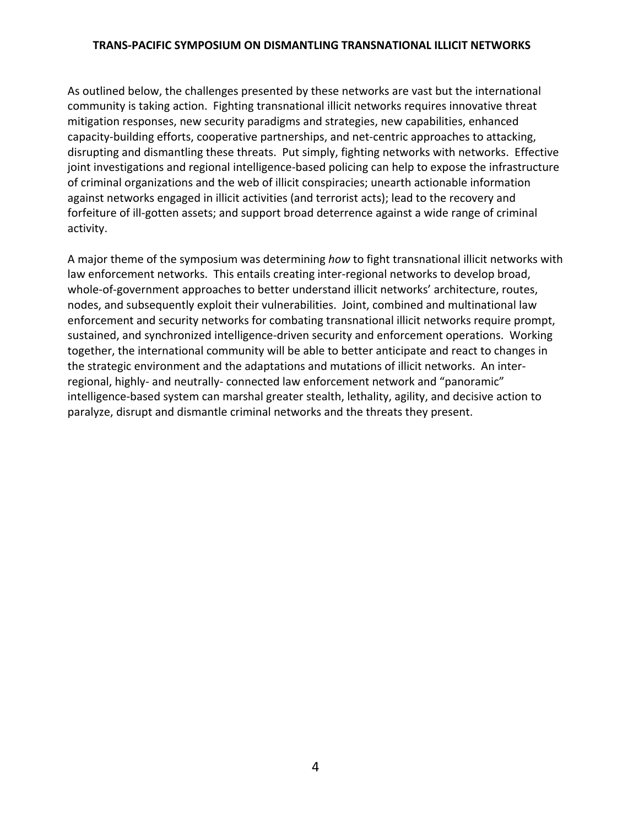As outlined below, the challenges presented by these networks are vast but the international community is taking action. Fighting transnational illicit networks requires innovative threat mitigation responses, new security paradigms and strategies, new capabilities, enhanced capacity‐building efforts, cooperative partnerships, and net‐centric approaches to attacking, disrupting and dismantling these threats. Put simply, fighting networks with networks. Effective joint investigations and regional intelligence-based policing can help to expose the infrastructure of criminal organizations and the web of illicit conspiracies; unearth actionable information against networks engaged in illicit activities (and terrorist acts); lead to the recovery and forfeiture of ill-gotten assets; and support broad deterrence against a wide range of criminal activity.

A major theme of the symposium was determining *how* to fight transnational illicit networks with law enforcement networks. This entails creating inter-regional networks to develop broad, whole-of-government approaches to better understand illicit networks' architecture, routes, nodes, and subsequently exploit their vulnerabilities. Joint, combined and multinational law enforcement and security networks for combating transnational illicit networks require prompt, sustained, and synchronized intelligence‐driven security and enforcement operations. Working together, the international community will be able to better anticipate and react to changes in the strategic environment and the adaptations and mutations of illicit networks. An inter‐ regional, highly‐ and neutrally‐ connected law enforcement network and "panoramic" intelligence‐based system can marshal greater stealth, lethality, agility, and decisive action to paralyze, disrupt and dismantle criminal networks and the threats they present.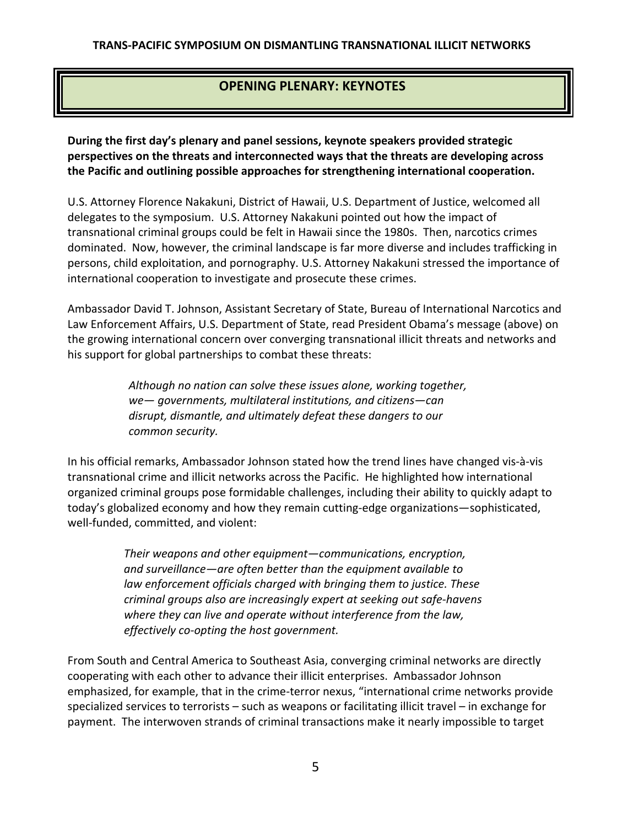# **OPENING PLENARY: KEYNOTES**

**During the first day's plenary and panel sessions, keynote speakers provided strategic perspectives on the threats and interconnected ways that the threats are developing across the Pacific and outlining possible approaches for strengthening international cooperation.**

U.S. Attorney Florence Nakakuni, District of Hawaii, U.S. Department of Justice, welcomed all delegates to the symposium. U.S. Attorney Nakakuni pointed out how the impact of transnational criminal groups could be felt in Hawaii since the 1980s. Then, narcotics crimes dominated. Now, however, the criminal landscape is far more diverse and includes trafficking in persons, child exploitation, and pornography. U.S. Attorney Nakakuni stressed the importance of international cooperation to investigate and prosecute these crimes.

Ambassador David T. Johnson, Assistant Secretary of State, Bureau of International Narcotics and Law Enforcement Affairs, U.S. Department of State, read President Obama's message (above) on the growing international concern over converging transnational illicit threats and networks and his support for global partnerships to combat these threats:

> *Although no nation can solve these issues alone, working together, we— governments, multilateral institutions, and citizens—can disrupt, dismantle, and ultimately defeat these dangers to our common security.*

In his official remarks, Ambassador Johnson stated how the trend lines have changed vis‐à‐vis transnational crime and illicit networks across the Pacific. He highlighted how international organized criminal groups pose formidable challenges, including their ability to quickly adapt to today's globalized economy and how they remain cutting‐edge organizations—sophisticated, well-funded, committed, and violent:

> *Their weapons and other equipment—communications, encryption, and surveillance—are often better than the equipment available to law enforcement officials charged with bringing them to justice. These criminal groups also are increasingly expert at seeking out safe‐havens where they can live and operate without interference from the law, effectively co‐opting the host government.*

From South and Central America to Southeast Asia, converging criminal networks are directly cooperating with each other to advance their illicit enterprises. Ambassador Johnson emphasized, for example, that in the crime‐terror nexus, "international crime networks provide specialized services to terrorists – such as weapons or facilitating illicit travel – in exchange for payment. The interwoven strands of criminal transactions make it nearly impossible to target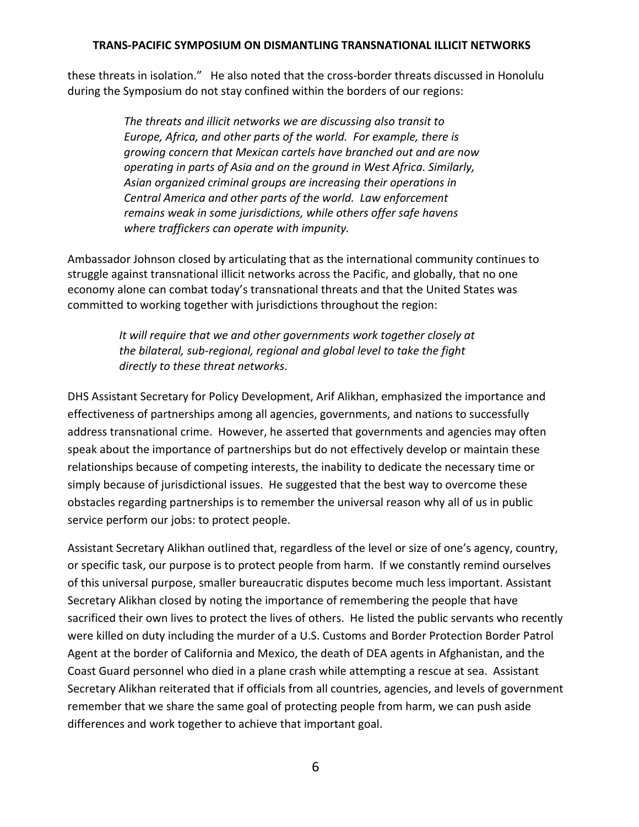these threats in isolation." He also noted that the cross‐border threats discussed in Honolulu during the Symposium do not stay confined within the borders of our regions:

> *The threats and illicit networks we are discussing also transit to Europe, Africa, and other parts of the world. For example, there is growing concern that Mexican cartels have branched out and are now operating in parts of Asia and on the ground in West Africa. Similarly, Asian organized criminal groups are increasing their operations in Central America and other parts of the world. Law enforcement remains weak in some jurisdictions, while others offer safe havens where traffickers can operate with impunity.*

Ambassador Johnson closed by articulating that as the international community continues to struggle against transnational illicit networks across the Pacific, and globally, that no one economy alone can combat today's transnational threats and that the United States was committed to working together with jurisdictions throughout the region:

> *It will require that we and other governments work together closely at the bilateral, sub‐regional, regional and global level to take the fight directly to these threat networks*.

DHS Assistant Secretary for Policy Development, Arif Alikhan, emphasized the importance and effectiveness of partnerships among all agencies, governments, and nations to successfully address transnational crime. However, he asserted that governments and agencies may often speak about the importance of partnerships but do not effectively develop or maintain these relationships because of competing interests, the inability to dedicate the necessary time or simply because of jurisdictional issues. He suggested that the best way to overcome these obstacles regarding partnerships is to remember the universal reason why all of us in public service perform our jobs: to protect people.

Assistant Secretary Alikhan outlined that, regardless of the level or size of one's agency, country, or specific task, our purpose is to protect people from harm. If we constantly remind ourselves of this universal purpose, smaller bureaucratic disputes become much less important. Assistant Secretary Alikhan closed by noting the importance of remembering the people that have sacrificed their own lives to protect the lives of others. He listed the public servants who recently were killed on duty including the murder of a U.S. Customs and Border Protection Border Patrol Agent at the border of California and Mexico, the death of DEA agents in Afghanistan, and the Coast Guard personnel who died in a plane crash while attempting a rescue at sea. Assistant Secretary Alikhan reiterated that if officials from all countries, agencies, and levels of government remember that we share the same goal of protecting people from harm, we can push aside differences and work together to achieve that important goal.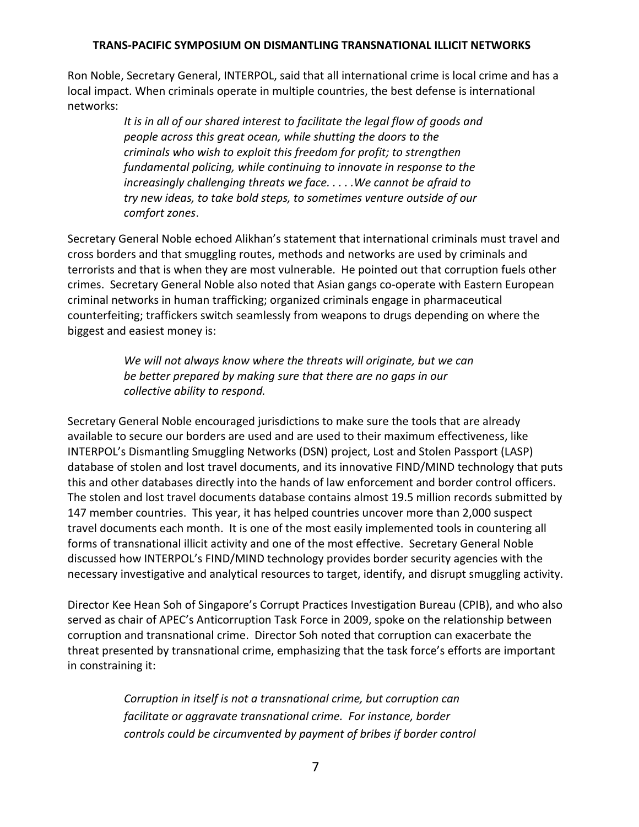Ron Noble, Secretary General, INTERPOL, said that all international crime is local crime and has a local impact. When criminals operate in multiple countries, the best defense is international networks:

> *It is in all of our shared interest to facilitate the legal flow of goods and people across this great ocean, while shutting the doors to the criminals who wish to exploit this freedom for profit; to strengthen fundamental policing, while continuing to innovate in response to the increasingly challenging threats we face. . . . .We cannot be afraid to try new ideas, to take bold steps, to sometimes venture outside of our comfort zones.*

Secretary General Noble echoed Alikhan's statement that international criminals must travel and cross borders and that smuggling routes, methods and networks are used by criminals and terrorists and that is when they are most vulnerable. He pointed out that corruption fuels other crimes. Secretary General Noble also noted that Asian gangs co‐operate with Eastern European criminal networks in human trafficking; organized criminals engage in pharmaceutical counterfeiting; traffickers switch seamlessly from weapons to drugs depending on where the biggest and easiest money is:

> *We will not always know where the threats will originate, but we can be better prepared by making sure that there are no gaps in our collective ability to respond.*

Secretary General Noble encouraged jurisdictions to make sure the tools that are already available to secure our borders are used and are used to their maximum effectiveness, like INTERPOL's Dismantling Smuggling Networks (DSN) project, Lost and Stolen Passport (LASP) database of stolen and lost travel documents, and its innovative FIND/MIND technology that puts this and other databases directly into the hands of law enforcement and border control officers. The stolen and lost travel documents database contains almost 19.5 million records submitted by 147 member countries. This year, it has helped countries uncover more than 2,000 suspect travel documents each month. It is one of the most easily implemented tools in countering all forms of transnational illicit activity and one of the most effective. Secretary General Noble discussed how INTERPOL's FIND/MIND technology provides border security agencies with the necessary investigative and analytical resources to target, identify, and disrupt smuggling activity.

Director Kee Hean Soh of Singapore's Corrupt Practices Investigation Bureau (CPIB), and who also served as chair of APEC's Anticorruption Task Force in 2009, spoke on the relationship between corruption and transnational crime. Director Soh noted that corruption can exacerbate the threat presented by transnational crime, emphasizing that the task force's efforts are important in constraining it:

> *Corruption in itself is not a transnational crime, but corruption can facilitate or aggravate transnational crime. For instance, border controls could be circumvented by payment of bribes if border control*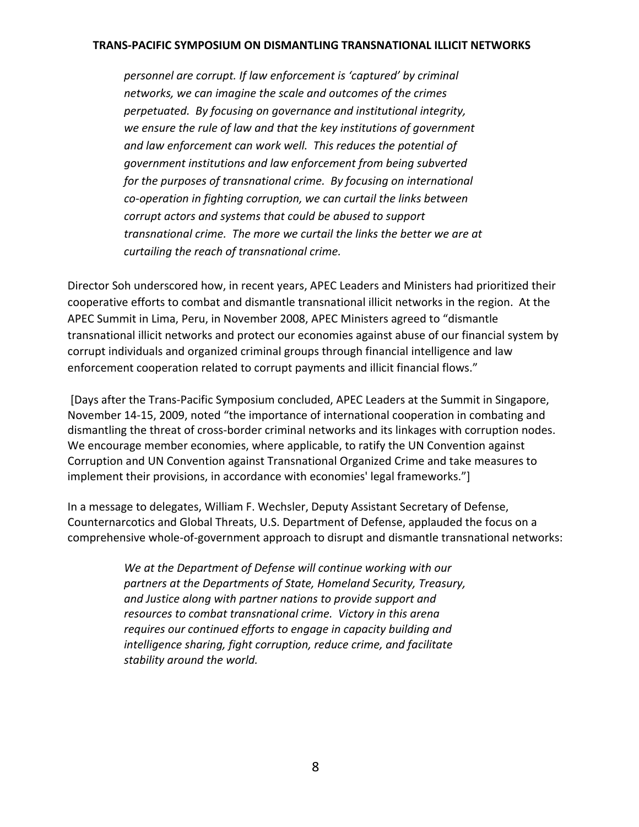*personnel are corrupt. If law enforcement is 'captured' by criminal networks, we can imagine the scale and outcomes of the crimes perpetuated. By focusing on governance and institutional integrity, we ensure the rule of law and that the key institutions of government and law enforcement can work well. This reduces the potential of government institutions and law enforcement from being subverted for the purposes of transnational crime. By focusing on international co‐operation in fighting corruption, we can curtail the links between corrupt actors and systems that could be abused to support transnational crime. The more we curtail the links the better we are at curtailing the reach of transnational crime.*

Director Soh underscored how, in recent years, APEC Leaders and Ministers had prioritized their cooperative efforts to combat and dismantle transnational illicit networks in the region. At the APEC Summit in Lima, Peru, in November 2008, APEC Ministers agreed to "dismantle transnational illicit networks and protect our economies against abuse of our financial system by corrupt individuals and organized criminal groups through financial intelligence and law enforcement cooperation related to corrupt payments and illicit financial flows."

[Days after the Trans‐Pacific Symposium concluded, APEC Leaders at the Summit in Singapore, November 14‐15, 2009, noted "the importance of international cooperation in combating and dismantling the threat of cross‐border criminal networks and its linkages with corruption nodes. We encourage member economies, where applicable, to ratify the UN Convention against Corruption and UN Convention against Transnational Organized Crime and take measures to implement their provisions, in accordance with economies' legal frameworks."]

In a message to delegates, William F. Wechsler, Deputy Assistant Secretary of Defense, Counternarcotics and Global Threats, U.S. Department of Defense, applauded the focus on a comprehensive whole‐of‐government approach to disrupt and dismantle transnational networks:

> *We at the Department of Defense will continue working with our partners at the Departments of State, Homeland Security, Treasury, and Justice along with partner nations to provide support and resources to combat transnational crime. Victory in this arena requires our continued efforts to engage in capacity building and intelligence sharing, fight corruption, reduce crime, and facilitate stability around the world.*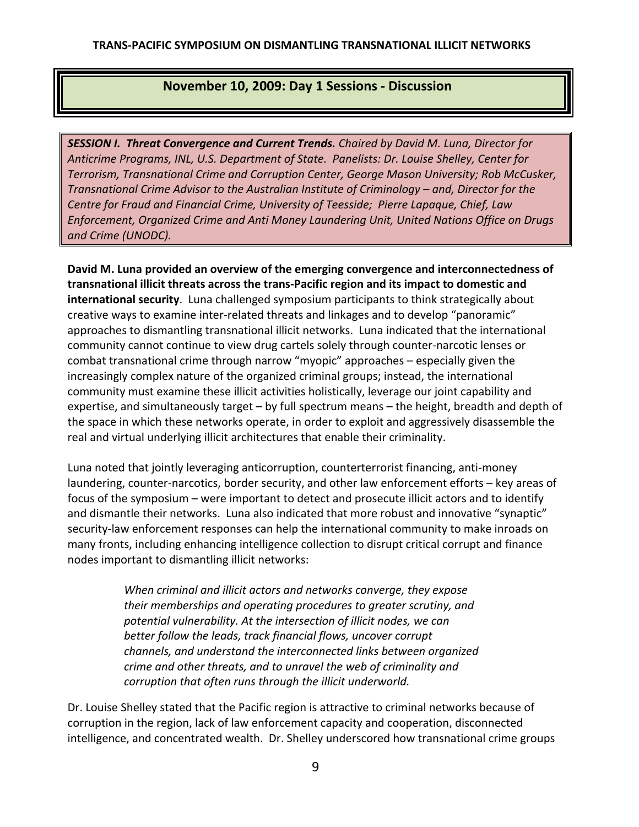# **November 10, 2009: Day 1 Sessions ‐ Discussion**

*SESSION I. Threat Convergence and Current Trends. Chaired by David M. Luna, Director for Anticrime Programs, INL, U.S. Department of State. Panelists: Dr. Louise Shelley, Center for Terrorism, Transnational Crime and Corruption Center, George Mason University; Rob McCusker, Transnational Crime Advisor to the Australian Institute of Criminology – and, Director for the Centre for Fraud and Financial Crime, University of Teesside; Pierre Lapaque, Chief, Law Enforcement, Organized Crime and Anti Money Laundering Unit, United Nations Office on Drugs and Crime (UNODC).*

**David M. Luna provided an overview of the emerging convergence and interconnectedness of transnational illicit threats across the trans‐Pacific region and its impact to domestic and international security**. Luna challenged symposium participants to think strategically about creative ways to examine inter‐related threats and linkages and to develop "panoramic" approaches to dismantling transnational illicit networks. Luna indicated that the international community cannot continue to view drug cartels solely through counter‐narcotic lenses or combat transnational crime through narrow "myopic" approaches – especially given the increasingly complex nature of the organized criminal groups; instead, the international community must examine these illicit activities holistically, leverage our joint capability and expertise, and simultaneously target – by full spectrum means – the height, breadth and depth of the space in which these networks operate, in order to exploit and aggressively disassemble the real and virtual underlying illicit architectures that enable their criminality.

Luna noted that jointly leveraging anticorruption, counterterrorist financing, anti‐money laundering, counter-narcotics, border security, and other law enforcement efforts - key areas of focus of the symposium – were important to detect and prosecute illicit actors and to identify and dismantle their networks. Luna also indicated that more robust and innovative "synaptic" security-law enforcement responses can help the international community to make inroads on many fronts, including enhancing intelligence collection to disrupt critical corrupt and finance nodes important to dismantling illicit networks:

> *When criminal and illicit actors and networks converge, they expose their memberships and operating procedures to greater scrutiny, and potential vulnerability. At the intersection of illicit nodes, we can better follow the leads, track financial flows, uncover corrupt channels, and understand the interconnected links between organized crime and other threats, and to unravel the web of criminality and corruption that often runs through the illicit underworld.*

Dr. Louise Shelley stated that the Pacific region is attractive to criminal networks because of corruption in the region, lack of law enforcement capacity and cooperation, disconnected intelligence, and concentrated wealth. Dr. Shelley underscored how transnational crime groups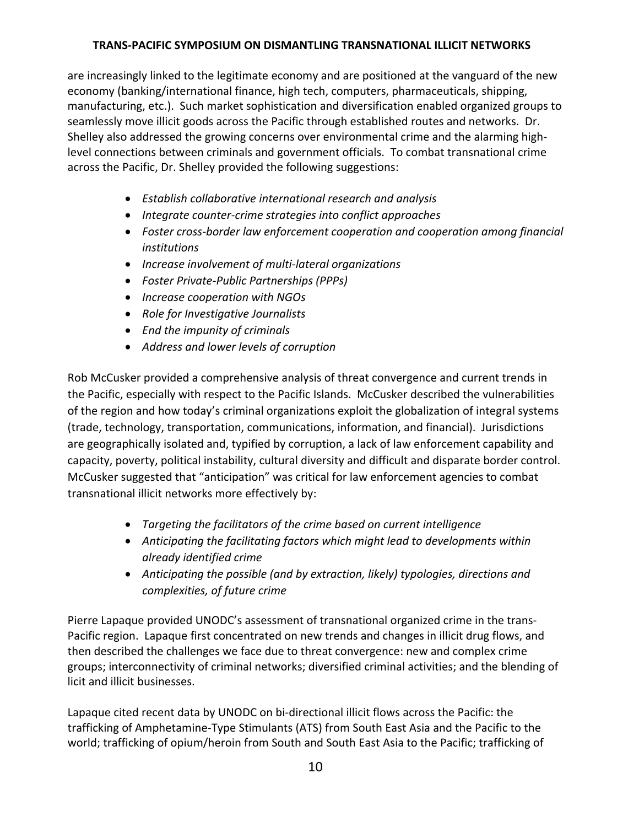are increasingly linked to the legitimate economy and are positioned at the vanguard of the new economy (banking/international finance, high tech, computers, pharmaceuticals, shipping, manufacturing, etc.). Such market sophistication and diversification enabled organized groups to seamlessly move illicit goods across the Pacific through established routes and networks. Dr. Shelley also addressed the growing concerns over environmental crime and the alarming high‐ level connections between criminals and government officials. To combat transnational crime across the Pacific, Dr. Shelley provided the following suggestions:

- *Establish collaborative international research and analysis*
- *Integrate counter‐crime strategies into conflict approaches*
- *Foster cross‐border law enforcement cooperation and cooperation among financial institutions*
- *Increase involvement of multi‐lateral organizations*
- *Foster Private‐Public Partnerships (PPPs)*
- *Increase cooperation with NGOs*
- *Role for Investigative Journalists*
- *End the impunity of criminals*
- *Address and lower levels of corruption*

Rob McCusker provided a comprehensive analysis of threat convergence and current trends in the Pacific, especially with respect to the Pacific Islands. McCusker described the vulnerabilities of the region and how today's criminal organizations exploit the globalization of integral systems (trade, technology, transportation, communications, information, and financial). Jurisdictions are geographically isolated and, typified by corruption, a lack of law enforcement capability and capacity, poverty, political instability, cultural diversity and difficult and disparate border control. McCusker suggested that "anticipation" was critical for law enforcement agencies to combat transnational illicit networks more effectively by:

- *Targeting the facilitators of the crime based on current intelligence*
- *Anticipating the facilitating factors which might lead to developments within already identified crime*
- *Anticipating the possible (and by extraction, likely) typologies, directions and complexities, of future crime*

Pierre Lapaque provided UNODC's assessment of transnational organized crime in the trans‐ Pacific region. Lapaque first concentrated on new trends and changes in illicit drug flows, and then described the challenges we face due to threat convergence: new and complex crime groups; interconnectivity of criminal networks; diversified criminal activities; and the blending of licit and illicit businesses.

Lapaque cited recent data by UNODC on bi‐directional illicit flows across the Pacific: the trafficking of Amphetamine‐Type Stimulants (ATS) from South East Asia and the Pacific to the world; trafficking of opium/heroin from South and South East Asia to the Pacific; trafficking of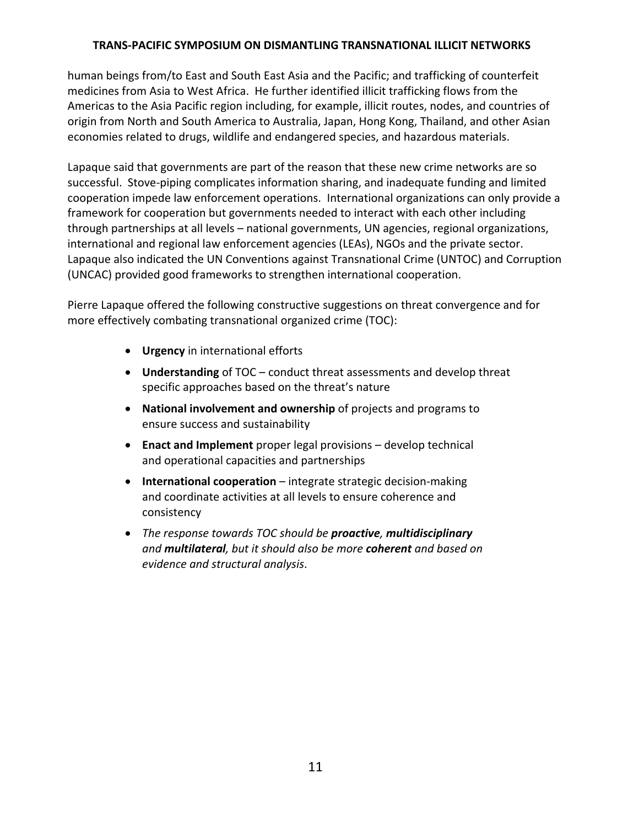human beings from/to East and South East Asia and the Pacific; and trafficking of counterfeit medicines from Asia to West Africa. He further identified illicit trafficking flows from the Americas to the Asia Pacific region including, for example, illicit routes, nodes, and countries of origin from North and South America to Australia, Japan, Hong Kong, Thailand, and other Asian economies related to drugs, wildlife and endangered species, and hazardous materials.

Lapaque said that governments are part of the reason that these new crime networks are so successful. Stove‐piping complicates information sharing, and inadequate funding and limited cooperation impede law enforcement operations. International organizations can only provide a framework for cooperation but governments needed to interact with each other including through partnerships at all levels – national governments, UN agencies, regional organizations, international and regional law enforcement agencies (LEAs), NGOs and the private sector. Lapaque also indicated the UN Conventions against Transnational Crime (UNTOC) and Corruption (UNCAC) provided good frameworks to strengthen international cooperation.

Pierre Lapaque offered the following constructive suggestions on threat convergence and for more effectively combating transnational organized crime (TOC):

- **Urgency** in international efforts
- **Understanding** of TOC conduct threat assessments and develop threat specific approaches based on the threat's nature
- **National involvement and ownership** of projects and programs to ensure success and sustainability
- **Enact and Implement** proper legal provisions develop technical and operational capacities and partnerships
- **International cooperation** integrate strategic decision‐making and coordinate activities at all levels to ensure coherence and consistency
- *The response towards TOC should be proactive, multidisciplinary and multilateral, but it should also be more coherent and based on evidence and structural analysis*.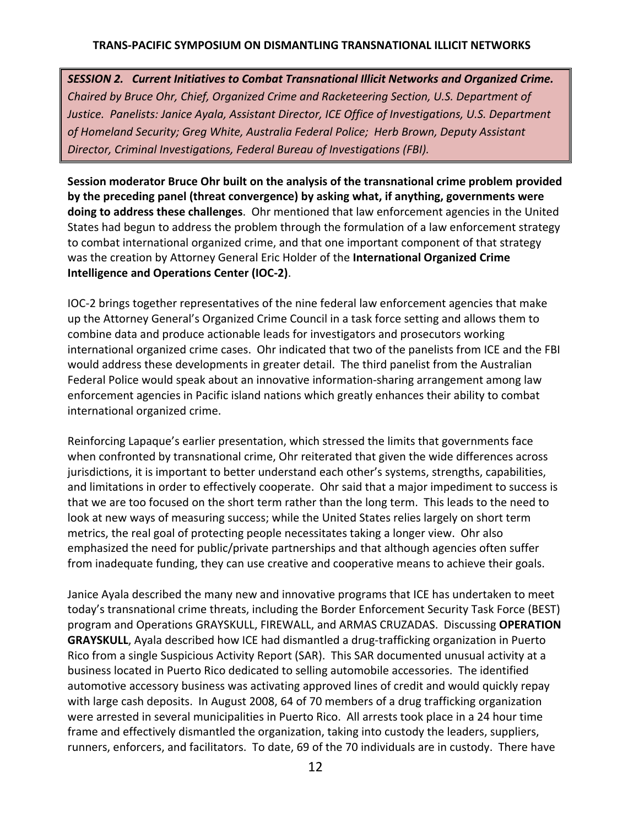*SESSION 2. Current Initiatives to Combat Transnational Illicit Networks and Organized Crime. Chaired by Bruce Ohr, Chief, Organized Crime and Racketeering Section, U.S. Department of Justice. Panelists: Janice Ayala, Assistant Director, ICE Office of Investigations, U.S. Department of Homeland Security; Greg White, Australia Federal Police; Herb Brown, Deputy Assistant Director, Criminal Investigations, Federal Bureau of Investigations (FBI).*

**Session moderator Bruce Ohr built on the analysis of the transnational crime problem provided by the preceding panel (threat convergence) by asking what, if anything, governments were doing to address these challenges**. Ohr mentioned that law enforcement agencies in the United States had begun to address the problem through the formulation of a law enforcement strategy to combat international organized crime, and that one important component of that strategy was the creation by Attorney General Eric Holder of the **International Organized Crime Intelligence and Operations Center (IOC‐2)**.

IOC‐2 brings together representatives of the nine federal law enforcement agencies that make up the Attorney General's Organized Crime Council in a task force setting and allows them to combine data and produce actionable leads for investigators and prosecutors working international organized crime cases. Ohr indicated that two of the panelists from ICE and the FBI would address these developments in greater detail. The third panelist from the Australian Federal Police would speak about an innovative information‐sharing arrangement among law enforcement agencies in Pacific island nations which greatly enhances their ability to combat international organized crime.

Reinforcing Lapaque's earlier presentation, which stressed the limits that governments face when confronted by transnational crime, Ohr reiterated that given the wide differences across jurisdictions, it is important to better understand each other's systems, strengths, capabilities, and limitations in order to effectively cooperate. Ohr said that a major impediment to success is that we are too focused on the short term rather than the long term. This leads to the need to look at new ways of measuring success; while the United States relies largely on short term metrics, the real goal of protecting people necessitates taking a longer view. Ohr also emphasized the need for public/private partnerships and that although agencies often suffer from inadequate funding, they can use creative and cooperative means to achieve their goals.

Janice Ayala described the many new and innovative programs that ICE has undertaken to meet today's transnational crime threats, including the Border Enforcement Security Task Force (BEST) program and Operations GRAYSKULL, FIREWALL, and ARMAS CRUZADAS. Discussing **OPERATION GRAYSKULL**, Ayala described how ICE had dismantled a drug‐trafficking organization in Puerto Rico from a single Suspicious Activity Report (SAR). This SAR documented unusual activity at a business located in Puerto Rico dedicated to selling automobile accessories. The identified automotive accessory business was activating approved lines of credit and would quickly repay with large cash deposits. In August 2008, 64 of 70 members of a drug trafficking organization were arrested in several municipalities in Puerto Rico. All arrests took place in a 24 hour time frame and effectively dismantled the organization, taking into custody the leaders, suppliers, runners, enforcers, and facilitators. To date, 69 of the 70 individuals are in custody. There have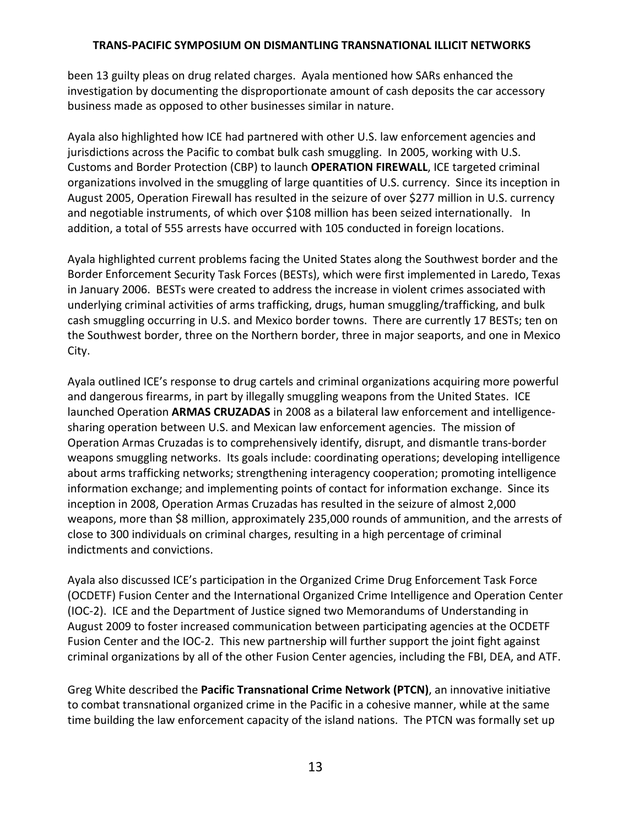been 13 guilty pleas on drug related charges. Ayala mentioned how SARs enhanced the investigation by documenting the disproportionate amount of cash deposits the car accessory business made as opposed to other businesses similar in nature.

Ayala also highlighted how ICE had partnered with other U.S. law enforcement agencies and jurisdictions across the Pacific to combat bulk cash smuggling. In 2005, working with U.S. Customs and Border Protection (CBP) to launch **OPERATION FIREWALL**, ICE targeted criminal organizations involved in the smuggling of large quantities of U.S. currency. Since its inception in August 2005, Operation Firewall has resulted in the seizure of over \$277 million in U.S. currency and negotiable instruments, of which over \$108 million has been seized internationally. In addition, a total of 555 arrests have occurred with 105 conducted in foreign locations.

Ayala highlighted current problems facing the United States along the Southwest border and the Border Enforcement Security Task Forces (BESTs), which were first implemented in Laredo, Texas in January 2006. BESTs were created to address the increase in violent crimes associated with underlying criminal activities of arms trafficking, drugs, human smuggling/trafficking, and bulk cash smuggling occurring in U.S. and Mexico border towns. There are currently 17 BESTs; ten on the Southwest border, three on the Northern border, three in major seaports, and one in Mexico City.

Ayala outlined ICE's response to drug cartels and criminal organizations acquiring more powerful and dangerous firearms, in part by illegally smuggling weapons from the United States. ICE launched Operation **ARMAS CRUZADAS** in 2008 as a bilateral law enforcement and intelligence‐ sharing operation between U.S. and Mexican law enforcement agencies. The mission of Operation Armas Cruzadas is to comprehensively identify, disrupt, and dismantle trans‐border weapons smuggling networks. Its goals include: coordinating operations; developing intelligence about arms trafficking networks; strengthening interagency cooperation; promoting intelligence information exchange; and implementing points of contact for information exchange. Since its inception in 2008, Operation Armas Cruzadas has resulted in the seizure of almost 2,000 weapons, more than \$8 million, approximately 235,000 rounds of ammunition, and the arrests of close to 300 individuals on criminal charges, resulting in a high percentage of criminal indictments and convictions.

Ayala also discussed ICE's participation in the Organized Crime Drug Enforcement Task Force (OCDETF) Fusion Center and the International Organized Crime Intelligence and Operation Center (IOC‐2). ICE and the Department of Justice signed two Memorandums of Understanding in August 2009 to foster increased communication between participating agencies at the OCDETF Fusion Center and the IOC‐2. This new partnership will further support the joint fight against criminal organizations by all of the other Fusion Center agencies, including the FBI, DEA, and ATF.

Greg White described the **Pacific Transnational Crime Network (PTCN)**, an innovative initiative to combat transnational organized crime in the Pacific in a cohesive manner, while at the same time building the law enforcement capacity of the island nations. The PTCN was formally set up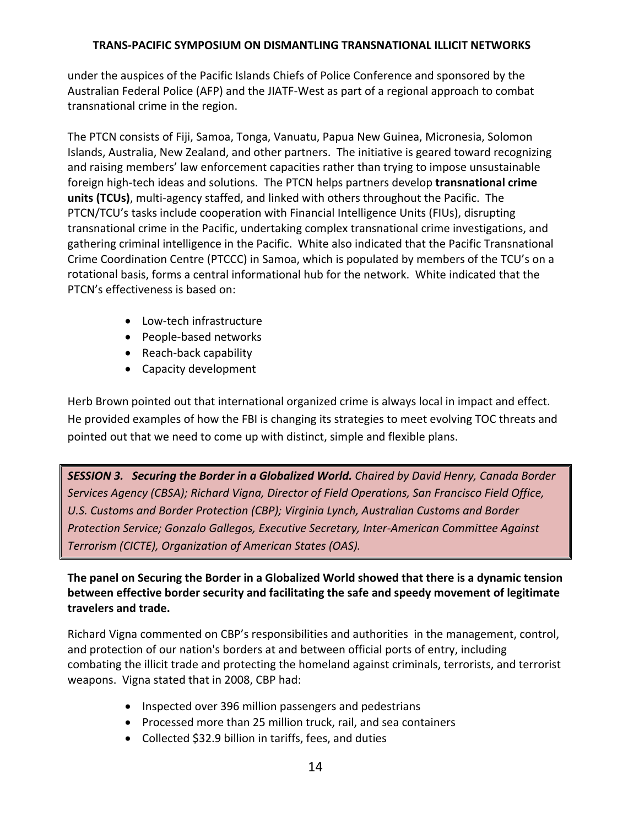under the auspices of the Pacific Islands Chiefs of Police Conference and sponsored by the Australian Federal Police (AFP) and the JIATF‐West as part of a regional approach to combat transnational crime in the region.

The PTCN consists of Fiji, Samoa, Tonga, Vanuatu, Papua New Guinea, Micronesia, Solomon Islands, Australia, New Zealand, and other partners. The initiative is geared toward recognizing and raising members' law enforcement capacities rather than trying to impose unsustainable foreign high‐tech ideas and solutions. The PTCN helps partners develop **transnational crime units (TCUs)**, multi‐agency staffed, and linked with others throughout the Pacific. The PTCN/TCU's tasks include cooperation with Financial Intelligence Units (FIUs), disrupting transnational crime in the Pacific, undertaking complex transnational crime investigations, and gathering criminal intelligence in the Pacific. White also indicated that the Pacific Transnational Crime Coordination Centre (PTCCC) in Samoa, which is populated by members of the TCU's on a rotational basis, forms a central informational hub for the network. White indicated that the PTCN's effectiveness is based on:

- Low-tech infrastructure
- People-based networks
- Reach-back capability
- Capacity development

Herb Brown pointed out that international organized crime is always local in impact and effect. He provided examples of how the FBI is changing its strategies to meet evolving TOC threats and pointed out that we need to come up with distinct, simple and flexible plans.

*SESSION 3. Securing the Border in a Globalized World. Chaired by David Henry, Canada Border Services Agency (CBSA); Richard Vigna, Director of Field Operations, San Francisco Field Office, U.S. Customs and Border Protection (CBP); Virginia Lynch, Australian Customs and Border Protection Service; Gonzalo Gallegos, Executive Secretary, Inter‐American Committee Against Terrorism (CICTE), Organization of American States (OAS).*

**The panel on Securing the Border in a Globalized World showed that there is a dynamic tension between effective border security and facilitating the safe and speedy movement of legitimate travelers and trade.**

Richard Vigna commented on CBP's responsibilities and authorities in the management, control, and protection of our nation's borders at and between official ports of entry, including combating the illicit trade and protecting the homeland against criminals, terrorists, and terrorist weapons. Vigna stated that in 2008, CBP had:

- Inspected over 396 million passengers and pedestrians
- Processed more than 25 million truck, rail, and sea containers
- Collected \$32.9 billion in tariffs, fees, and duties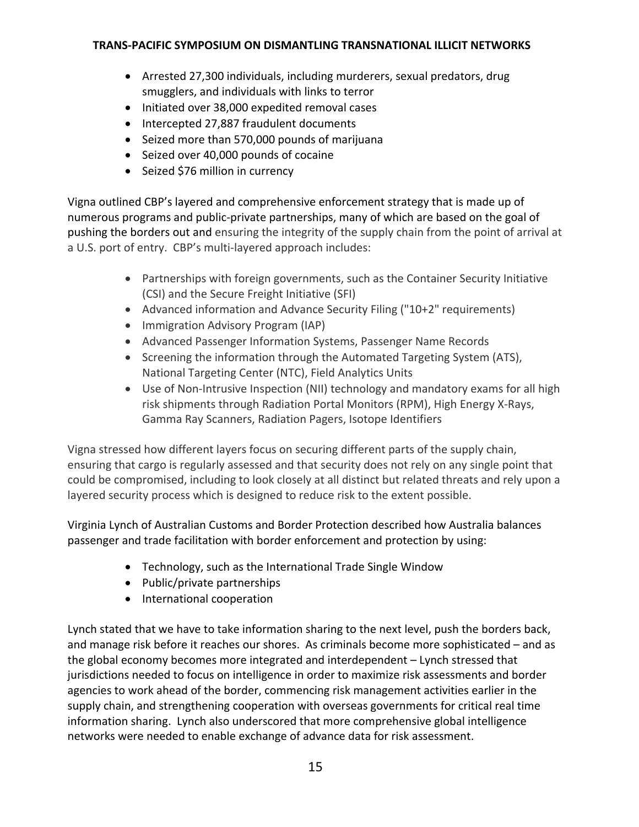- Arrested 27,300 individuals, including murderers, sexual predators, drug smugglers, and individuals with links to terror
- Initiated over 38,000 expedited removal cases
- Intercepted 27,887 fraudulent documents
- Seized more than 570,000 pounds of marijuana
- Seized over 40,000 pounds of cocaine
- Seized \$76 million in currency

Vigna outlined CBP's layered and comprehensive enforcement strategy that is made up of numerous programs and public‐private partnerships, many of which are based on the goal of pushing the borders out and ensuring the integrity of the supply chain from the point of arrival at a U.S. port of entry. CBP's multi‐layered approach includes:

- Partnerships with foreign governments, such as the Container Security Initiative (CSI) and the Secure Freight Initiative (SFI)
- Advanced information and Advance Security Filing ("10+2" requirements)
- Immigration Advisory Program (IAP)
- Advanced Passenger Information Systems, Passenger Name Records
- Screening the information through the Automated Targeting System (ATS), National Targeting Center (NTC), Field Analytics Units
- Use of Non-Intrusive Inspection (NII) technology and mandatory exams for all high risk shipments through Radiation Portal Monitors (RPM), High Energy X‐Rays, Gamma Ray Scanners, Radiation Pagers, Isotope Identifiers

Vigna stressed how different layers focus on securing different parts of the supply chain, ensuring that cargo is regularly assessed and that security does not rely on any single point that could be compromised, including to look closely at all distinct but related threats and rely upon a layered security process which is designed to reduce risk to the extent possible.

Virginia Lynch of Australian Customs and Border Protection described how Australia balances passenger and trade facilitation with border enforcement and protection by using:

- Technology, such as the International Trade Single Window
- Public/private partnerships
- International cooperation

Lynch stated that we have to take information sharing to the next level, push the borders back, and manage risk before it reaches our shores. As criminals become more sophisticated – and as the global economy becomes more integrated and interdependent – Lynch stressed that jurisdictions needed to focus on intelligence in order to maximize risk assessments and border agencies to work ahead of the border, commencing risk management activities earlier in the supply chain, and strengthening cooperation with overseas governments for critical real time information sharing. Lynch also underscored that more comprehensive global intelligence networks were needed to enable exchange of advance data for risk assessment.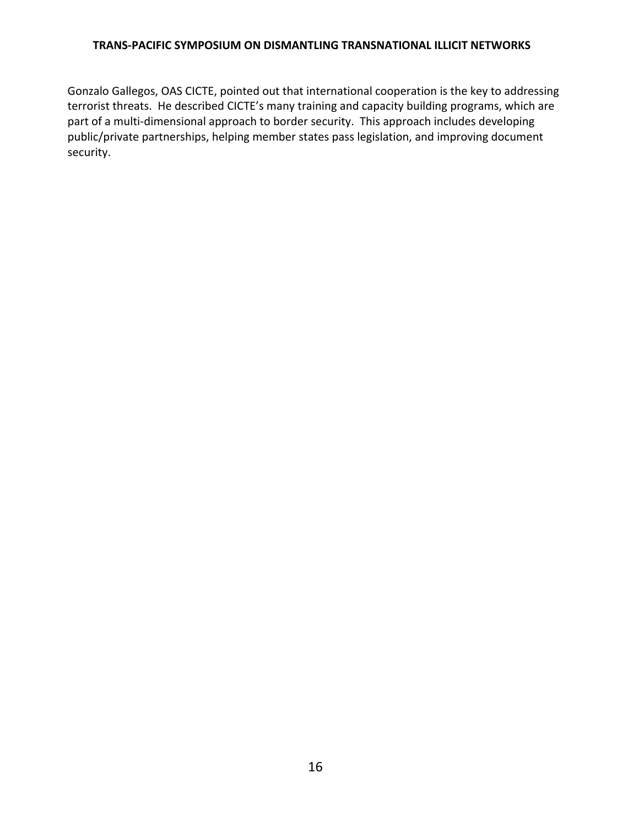Gonzalo Gallegos, OAS CICTE, pointed out that international cooperation is the key to addressing terrorist threats. He described CICTE's many training and capacity building programs, which are part of a multi-dimensional approach to border security. This approach includes developing public/private partnerships, helping member states pass legislation, and improving document security.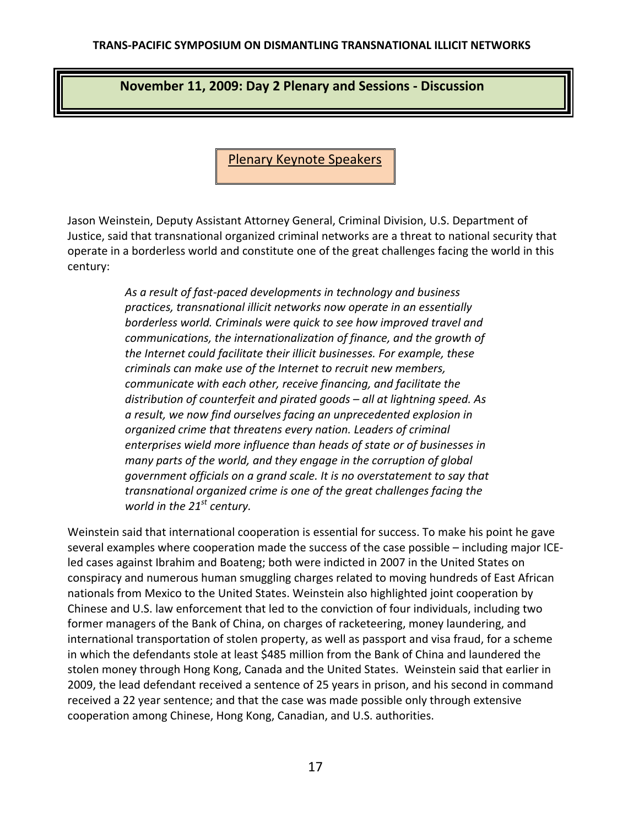# **November 11, 2009: Day 2 Plenary and Sessions ‐ Discussion**

Plenary Keynote Speakers

Jason Weinstein, Deputy Assistant Attorney General, Criminal Division, U.S. Department of Justice, said that transnational organized criminal networks are a threat to national security that operate in a borderless world and constitute one of the great challenges facing the world in this century:

> *As a result of fast‐paced developments in technology and business practices, transnational illicit networks now operate in an essentially borderless world. Criminals were quick to see how improved travel and communications, the internationalization of finance, and the growth of the Internet could facilitate their illicit businesses. For example, these criminals can make use of the Internet to recruit new members, communicate with each other, receive financing, and facilitate the distribution of counterfeit and pirated goods – all at lightning speed. As a result, we now find ourselves facing an unprecedented explosion in organized crime that threatens every nation. Leaders of criminal enterprises wield more influence than heads of state or of businesses in many parts of the world, and they engage in the corruption of global government officials on a grand scale. It is no overstatement to say that transnational organized crime is one of the great challenges facing the world in the 21<sup>st</sup> century.*

Weinstein said that international cooperation is essential for success. To make his point he gave several examples where cooperation made the success of the case possible – including major ICE‐ led cases against Ibrahim and Boateng; both were indicted in 2007 in the United States on conspiracy and numerous human smuggling charges related to moving hundreds of East African nationals from Mexico to the United States. Weinstein also highlighted joint cooperation by Chinese and U.S. law enforcement that led to the conviction of four individuals, including two former managers of the Bank of China, on charges of racketeering, money laundering, and international transportation of stolen property, as well as passport and visa fraud, for a scheme in which the defendants stole at least \$485 million from the Bank of China and laundered the stolen money through Hong Kong, Canada and the United States. Weinstein said that earlier in 2009, the lead defendant received a sentence of 25 years in prison, and his second in command received a 22 year sentence; and that the case was made possible only through extensive cooperation among Chinese, Hong Kong, Canadian, and U.S. authorities.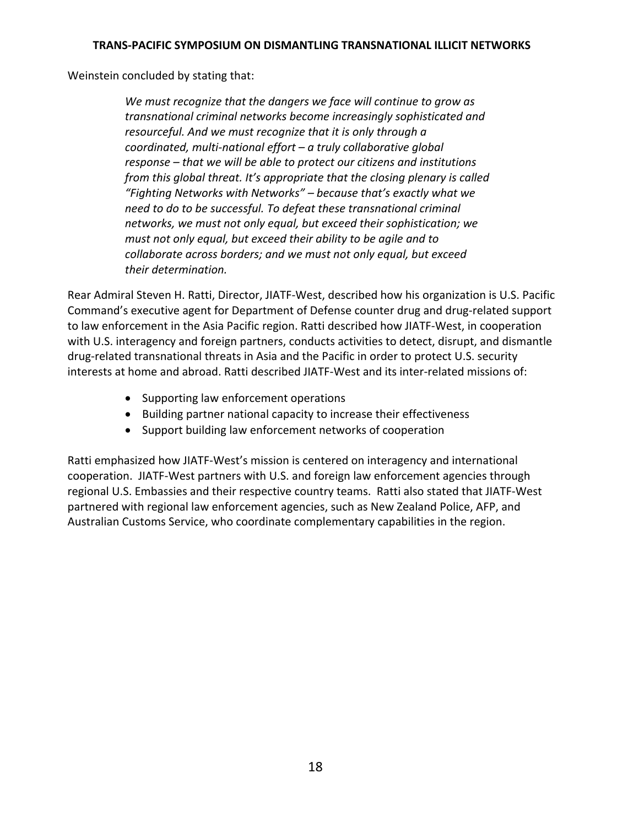Weinstein concluded by stating that:

*We must recognize that the dangers we face will continue to grow as transnational criminal networks become increasingly sophisticated and resourceful. And we must recognize that it is only through a coordinated, multi‐national effort – a truly collaborative global response – that we will be able to protect our citizens and institutions from this global threat. It's appropriate that the closing plenary is called "Fighting Networks with Networks" – because that's exactly what we need to do to be successful. To defeat these transnational criminal networks, we must not only equal, but exceed their sophistication; we must not only equal, but exceed their ability to be agile and to collaborate across borders; and we must not only equal, but exceed their determination.*

Rear Admiral Steven H. Ratti, Director, JIATF‐West, described how his organization is U.S. Pacific Command's executive agent for Department of Defense counter drug and drug‐related support to law enforcement in the Asia Pacific region. Ratti described how JIATF‐West, in cooperation with U.S. interagency and foreign partners, conducts activities to detect, disrupt, and dismantle drug‐related transnational threats in Asia and the Pacific in order to protect U.S. security interests at home and abroad. Ratti described JIATF‐West and its inter‐related missions of:

- Supporting law enforcement operations
- Building partner national capacity to increase their effectiveness
- Support building law enforcement networks of cooperation

Ratti emphasized how JIATF‐West's mission is centered on interagency and international cooperation. JIATF‐West partners with U.S. and foreign law enforcement agencies through regional U.S. Embassies and their respective country teams. Ratti also stated that JIATF‐West partnered with regional law enforcement agencies, such as New Zealand Police, AFP, and Australian Customs Service, who coordinate complementary capabilities in the region.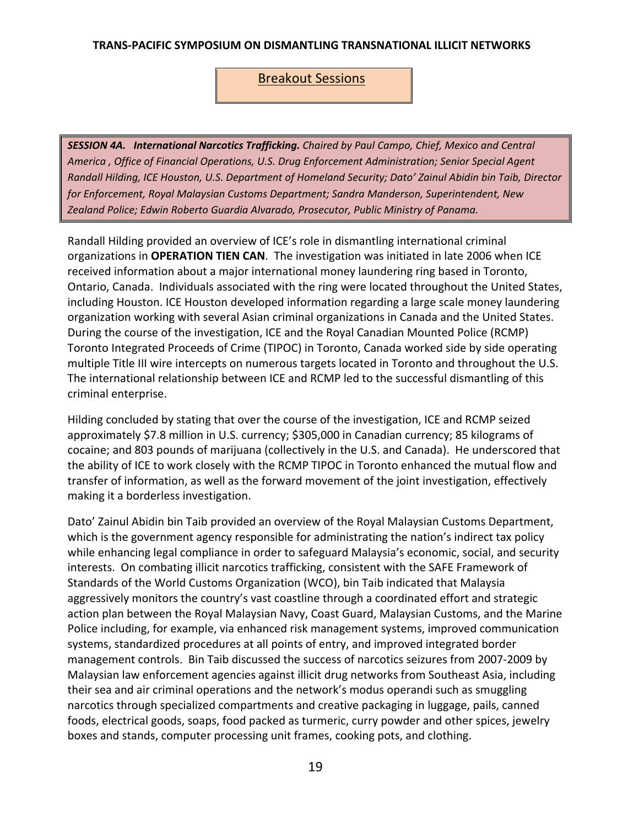# Breakout Sessions

*SESSION 4A. International Narcotics Trafficking. Chaired by Paul Campo, Chief, Mexico and Central America , Office of Financial Operations, U.S. Drug Enforcement Administration; Senior Special Agent Randall Hilding, ICE Houston, U.S. Department of Homeland Security; Dato' Zainul Abidin bin Taib, Director for Enforcement, Royal Malaysian Customs Department; Sandra Manderson, Superintendent, New Zealand Police; Edwin Roberto Guardia Alvarado, Prosecutor, Public Ministry of Panama.*

Randall Hilding provided an overview of ICE's role in dismantling international criminal organizations in **OPERATION TIEN CAN**. The investigation was initiated in late 2006 when ICE received information about a major international money laundering ring based in Toronto, Ontario, Canada. Individuals associated with the ring were located throughout the United States, including Houston. ICE Houston developed information regarding a large scale money laundering organization working with several Asian criminal organizations in Canada and the United States. During the course of the investigation, ICE and the Royal Canadian Mounted Police (RCMP) Toronto Integrated Proceeds of Crime (TIPOC) in Toronto, Canada worked side by side operating multiple Title III wire intercepts on numerous targets located in Toronto and throughout the U.S. The international relationship between ICE and RCMP led to the successful dismantling of this criminal enterprise.

Hilding concluded by stating that over the course of the investigation, ICE and RCMP seized approximately \$7.8 million in U.S. currency; \$305,000 in Canadian currency; 85 kilograms of cocaine; and 803 pounds of marijuana (collectively in the U.S. and Canada). He underscored that the ability of ICE to work closely with the RCMP TIPOC in Toronto enhanced the mutual flow and transfer of information, as well as the forward movement of the joint investigation, effectively making it a borderless investigation.

Dato' Zainul Abidin bin Taib provided an overview of the Royal Malaysian Customs Department, which is the government agency responsible for administrating the nation's indirect tax policy while enhancing legal compliance in order to safeguard Malaysia's economic, social, and security interests. On combating illicit narcotics trafficking, consistent with the SAFE Framework of Standards of the World Customs Organization (WCO), bin Taib indicated that Malaysia aggressively monitors the country's vast coastline through a coordinated effort and strategic action plan between the Royal Malaysian Navy, Coast Guard, Malaysian Customs, and the Marine Police including, for example, via enhanced risk management systems, improved communication systems, standardized procedures at all points of entry, and improved integrated border management controls. Bin Taib discussed the success of narcotics seizures from 2007‐2009 by Malaysian law enforcement agencies against illicit drug networks from Southeast Asia, including their sea and air criminal operations and the network's modus operandi such as smuggling narcotics through specialized compartments and creative packaging in luggage, pails, canned foods, electrical goods, soaps, food packed as turmeric, curry powder and other spices, jewelry boxes and stands, computer processing unit frames, cooking pots, and clothing.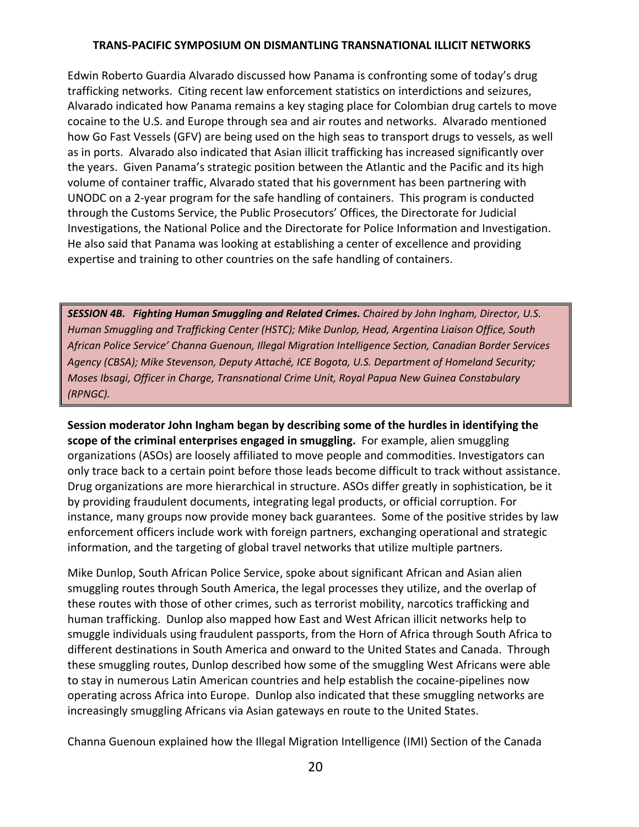Edwin Roberto Guardia Alvarado discussed how Panama is confronting some of today's drug trafficking networks. Citing recent law enforcement statistics on interdictions and seizures, Alvarado indicated how Panama remains a key staging place for Colombian drug cartels to move cocaine to the U.S. and Europe through sea and air routes and networks. Alvarado mentioned how Go Fast Vessels (GFV) are being used on the high seas to transport drugs to vessels, as well as in ports. Alvarado also indicated that Asian illicit trafficking has increased significantly over the years. Given Panama's strategic position between the Atlantic and the Pacific and its high volume of container traffic, Alvarado stated that his government has been partnering with UNODC on a 2‐year program for the safe handling of containers. This program is conducted through the Customs Service, the Public Prosecutors' Offices, the Directorate for Judicial Investigations, the National Police and the Directorate for Police Information and Investigation. He also said that Panama was looking at establishing a center of excellence and providing expertise and training to other countries on the safe handling of containers.

*SESSION 4B. Fighting Human Smuggling and Related Crimes. Chaired by John Ingham, Director, U.S. Human Smuggling and Trafficking Center (HSTC); Mike Dunlop, Head, Argentina Liaison Office, South African Police Service' Channa Guenoun, Illegal Migration Intelligence Section, Canadian Border Services Agency (CBSA); Mike Stevenson, Deputy Attaché, ICE Bogota, U.S. Department of Homeland Security; Moses Ibsagi, Officer in Charge, Transnational Crime Unit, Royal Papua New Guinea Constabulary (RPNGC).*

**Session moderator John Ingham began by describing some of the hurdles in identifying the scope of the criminal enterprises engaged in smuggling.** For example, alien smuggling organizations (ASOs) are loosely affiliated to move people and commodities. Investigators can only trace back to a certain point before those leads become difficult to track without assistance. Drug organizations are more hierarchical in structure. ASOs differ greatly in sophistication, be it by providing fraudulent documents, integrating legal products, or official corruption. For instance, many groups now provide money back guarantees. Some of the positive strides by law enforcement officers include work with foreign partners, exchanging operational and strategic information, and the targeting of global travel networks that utilize multiple partners.

Mike Dunlop, South African Police Service, spoke about significant African and Asian alien smuggling routes through South America, the legal processes they utilize, and the overlap of these routes with those of other crimes, such as terrorist mobility, narcotics trafficking and human trafficking. Dunlop also mapped how East and West African illicit networks help to smuggle individuals using fraudulent passports, from the Horn of Africa through South Africa to different destinations in South America and onward to the United States and Canada. Through these smuggling routes, Dunlop described how some of the smuggling West Africans were able to stay in numerous Latin American countries and help establish the cocaine‐pipelines now operating across Africa into Europe. Dunlop also indicated that these smuggling networks are increasingly smuggling Africans via Asian gateways en route to the United States.

Channa Guenoun explained how the Illegal Migration Intelligence (IMI) Section of the Canada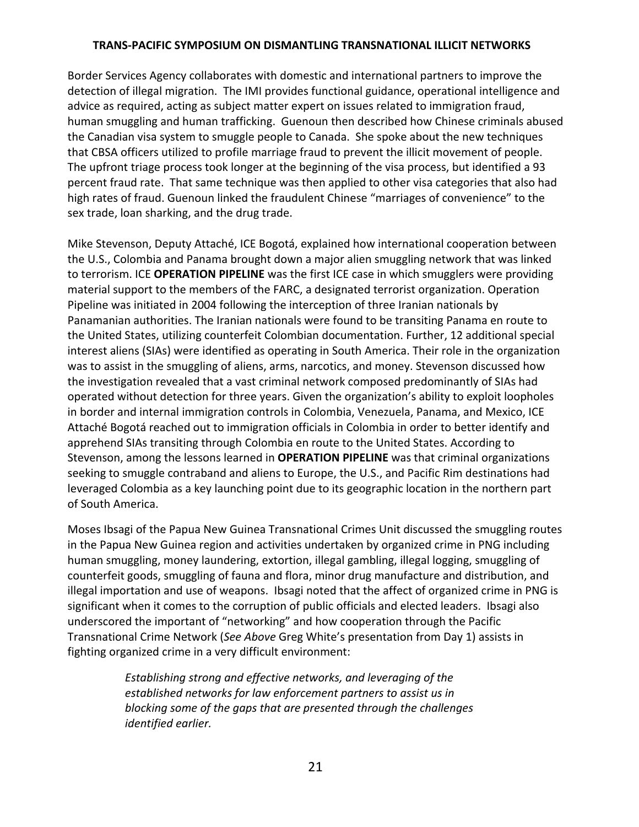Border Services Agency collaborates with domestic and international partners to improve the detection of illegal migration. The IMI provides functional guidance, operational intelligence and advice as required, acting as subject matter expert on issues related to immigration fraud, human smuggling and human trafficking. Guenoun then described how Chinese criminals abused the Canadian visa system to smuggle people to Canada. She spoke about the new techniques that CBSA officers utilized to profile marriage fraud to prevent the illicit movement of people. The upfront triage process took longer at the beginning of the visa process, but identified a 93 percent fraud rate. That same technique was then applied to other visa categories that also had high rates of fraud. Guenoun linked the fraudulent Chinese "marriages of convenience" to the sex trade, loan sharking, and the drug trade.

Mike Stevenson, Deputy Attaché, ICE Bogotá, explained how international cooperation between the U.S., Colombia and Panama brought down a major alien smuggling network that was linked to terrorism. ICE **OPERATION PIPELINE** was the first ICE case in which smugglers were providing material support to the members of the FARC, a designated terrorist organization. Operation Pipeline was initiated in 2004 following the interception of three Iranian nationals by Panamanian authorities. The Iranian nationals were found to be transiting Panama en route to the United States, utilizing counterfeit Colombian documentation. Further, 12 additional special interest aliens (SIAs) were identified as operating in South America. Their role in the organization was to assist in the smuggling of aliens, arms, narcotics, and money. Stevenson discussed how the investigation revealed that a vast criminal network composed predominantly of SIAs had operated without detection for three years. Given the organization's ability to exploit loopholes in border and internal immigration controls in Colombia, Venezuela, Panama, and Mexico, ICE Attaché Bogotá reached out to immigration officials in Colombia in order to better identify and apprehend SIAs transiting through Colombia en route to the United States. According to Stevenson, among the lessons learned in **OPERATION PIPELINE** was that criminal organizations seeking to smuggle contraband and aliens to Europe, the U.S., and Pacific Rim destinations had leveraged Colombia as a key launching point due to its geographic location in the northern part of South America.

Moses Ibsagi of the Papua New Guinea Transnational Crimes Unit discussed the smuggling routes in the Papua New Guinea region and activities undertaken by organized crime in PNG including human smuggling, money laundering, extortion, illegal gambling, illegal logging, smuggling of counterfeit goods, smuggling of fauna and flora, minor drug manufacture and distribution, and illegal importation and use of weapons. Ibsagi noted that the affect of organized crime in PNG is significant when it comes to the corruption of public officials and elected leaders. Ibsagi also underscored the important of "networking" and how cooperation through the Pacific Transnational Crime Network (*See Above* Greg White's presentation from Day 1) assists in fighting organized crime in a very difficult environment:

> *Establishing strong and effective networks, and leveraging of the established networks for law enforcement partners to assist us in blocking some of the gaps that are presented through the challenges identified earlier.*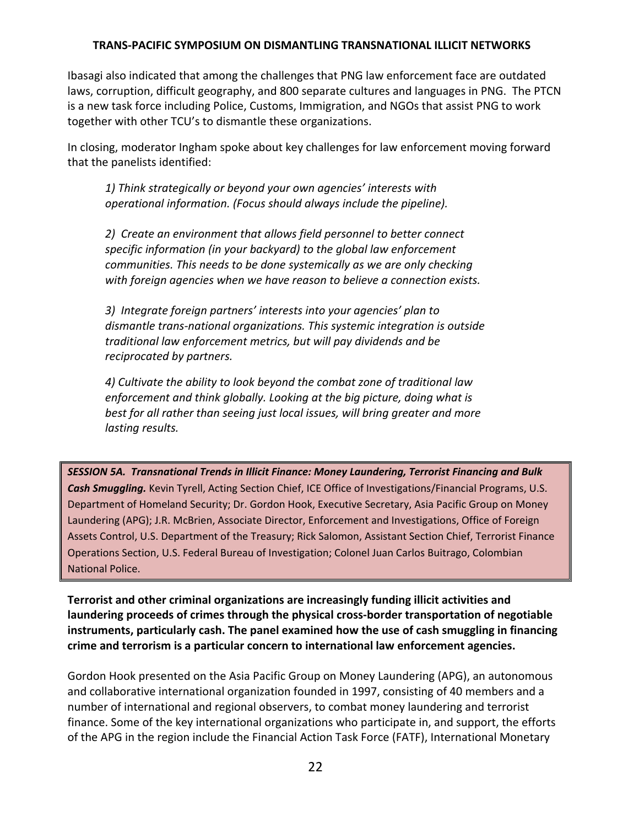Ibasagi also indicated that among the challenges that PNG law enforcement face are outdated laws, corruption, difficult geography, and 800 separate cultures and languages in PNG. The PTCN is a new task force including Police, Customs, Immigration, and NGOs that assist PNG to work together with other TCU's to dismantle these organizations.

In closing, moderator Ingham spoke about key challenges for law enforcement moving forward that the panelists identified:

*1) Think strategically or beyond your own agencies' interests with operational information. (Focus should always include the pipeline).*

*2) Create an environment that allows field personnel to better connect specific information (in your backyard) to the global law enforcement communities. This needs to be done systemically as we are only checking with foreign agencies when we have reason to believe a connection exists.*

*3) Integrate foreign partners' interests into your agencies' plan to dismantle trans‐national organizations. This systemic integration is outside traditional law enforcement metrics, but will pay dividends and be reciprocated by partners.*

*4) Cultivate the ability to look beyond the combat zone of traditional law enforcement and think globally. Looking at the big picture, doing what is best for all rather than seeing just local issues, will bring greater and more lasting results.*

*SESSION 5A. Transnational Trends in Illicit Finance: Money Laundering, Terrorist Financing and Bulk Cash Smuggling.* Kevin Tyrell, Acting Section Chief, ICE Office of Investigations/Financial Programs, U.S. Department of Homeland Security; Dr. Gordon Hook, Executive Secretary, Asia Pacific Group on Money Laundering (APG); J.R. McBrien, Associate Director, Enforcement and Investigations, Office of Foreign Assets Control, U.S. Department of the Treasury; Rick Salomon, Assistant Section Chief, Terrorist Finance Operations Section, U.S. Federal Bureau of Investigation; Colonel Juan Carlos Buitrago, Colombian National Police.

**Terrorist and other criminal organizations are increasingly funding illicit activities and laundering proceeds of crimes through the physical cross‐border transportation of negotiable instruments, particularly cash. The panel examined how the use of cash smuggling in financing crime and terrorism is a particular concern to international law enforcement agencies.**

Gordon Hook presented on the Asia Pacific Group on Money Laundering (APG), an autonomous and collaborative international organization founded in 1997, consisting of 40 members and a number of international and regional observers, to combat money laundering and terrorist finance. Some of the key international organizations who participate in, and support, the efforts of the APG in the region include the Financial Action Task Force (FATF), International Monetary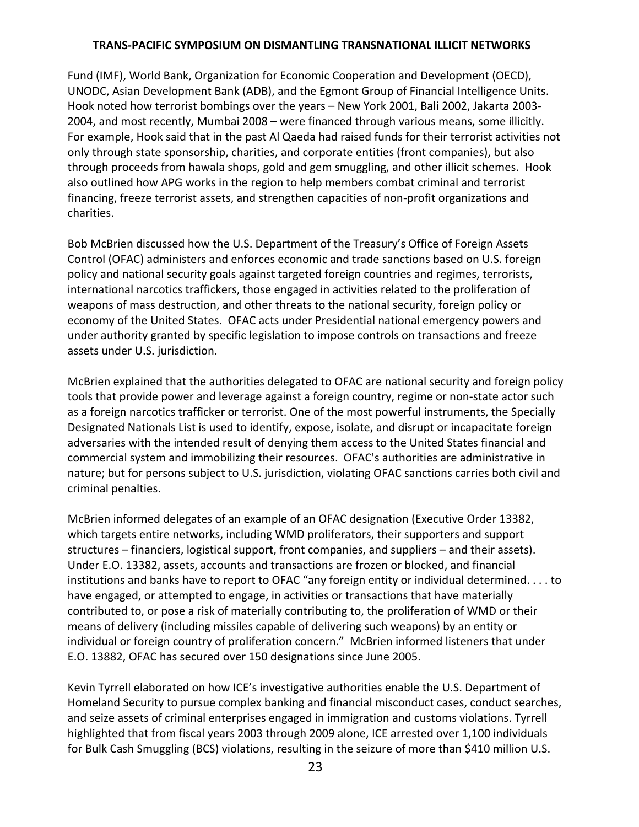Fund (IMF), World Bank, Organization for Economic Cooperation and Development (OECD), UNODC, Asian Development Bank (ADB), and the Egmont Group of Financial Intelligence Units. Hook noted how terrorist bombings over the years – New York 2001, Bali 2002, Jakarta 2003‐ 2004, and most recently, Mumbai 2008 – were financed through various means, some illicitly. For example, Hook said that in the past Al Qaeda had raised funds for their terrorist activities not only through state sponsorship, charities, and corporate entities (front companies), but also through proceeds from hawala shops, gold and gem smuggling, and other illicit schemes. Hook also outlined how APG works in the region to help members combat criminal and terrorist financing, freeze terrorist assets, and strengthen capacities of non-profit organizations and charities.

Bob McBrien discussed how the U.S. Department of the Treasury's Office of Foreign Assets Control (OFAC) administers and enforces economic and trade sanctions based on U.S. foreign policy and national security goals against targeted foreign countries and regimes, terrorists, international narcotics traffickers, those engaged in activities related to the proliferation of weapons of mass destruction, and other threats to the national security, foreign policy or economy of the United States. OFAC acts under Presidential national emergency powers and under authority granted by specific legislation to impose controls on transactions and freeze assets under U.S. jurisdiction.

McBrien explained that the authorities delegated to OFAC are national security and foreign policy tools that provide power and leverage against a foreign country, regime or non‐state actor such as a foreign narcotics trafficker or terrorist. One of the most powerful instruments, the Specially Designated Nationals List is used to identify, expose, isolate, and disrupt or incapacitate foreign adversaries with the intended result of denying them access to the United States financial and commercial system and immobilizing their resources. OFAC's authorities are administrative in nature; but for persons subject to U.S. jurisdiction, violating OFAC sanctions carries both civil and criminal penalties.

McBrien informed delegates of an example of an OFAC designation (Executive Order 13382, which targets entire networks, including WMD proliferators, their supporters and support structures – financiers, logistical support, front companies, and suppliers – and their assets). Under E.O. 13382, assets, accounts and transactions are frozen or blocked, and financial institutions and banks have to report to OFAC "any foreign entity or individual determined. . . . to have engaged, or attempted to engage, in activities or transactions that have materially contributed to, or pose a risk of materially contributing to, the proliferation of WMD or their means of delivery (including missiles capable of delivering such weapons) by an entity or individual or foreign country of proliferation concern." McBrien informed listeners that under E.O. 13882, OFAC has secured over 150 designations since June 2005.

Kevin Tyrrell elaborated on how ICE's investigative authorities enable the U.S. Department of Homeland Security to pursue complex banking and financial misconduct cases, conduct searches, and seize assets of criminal enterprises engaged in immigration and customs violations. Tyrrell highlighted that from fiscal years 2003 through 2009 alone, ICE arrested over 1,100 individuals for Bulk Cash Smuggling (BCS) violations, resulting in the seizure of more than \$410 million U.S.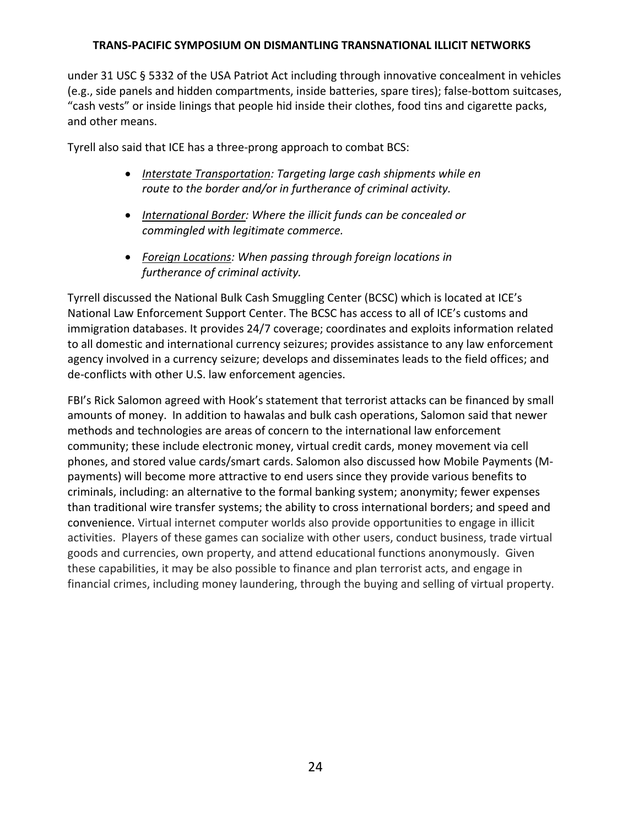under 31 USC § 5332 of the USA Patriot Act including through innovative concealment in vehicles (e.g., side panels and hidden compartments, inside batteries, spare tires); false‐bottom suitcases, "cash vests" or inside linings that people hid inside their clothes, food tins and cigarette packs, and other means.

Tyrell also said that ICE has a three‐prong approach to combat BCS:

- *Interstate Transportation: Targeting large cash shipments while en route to the border and/or in furtherance of criminal activity.*
- *International Border: Where the illicit funds can be concealed or commingled with legitimate commerce.*
- *Foreign Locations: When passing through foreign locations in furtherance of criminal activity.*

Tyrrell discussed the National Bulk Cash Smuggling Center (BCSC) which is located at ICE's National Law Enforcement Support Center. The BCSC has access to all of ICE's customs and immigration databases. It provides 24/7 coverage; coordinates and exploits information related to all domestic and international currency seizures; provides assistance to any law enforcement agency involved in a currency seizure; develops and disseminates leads to the field offices; and de‐conflicts with other U.S. law enforcement agencies.

FBI's Rick Salomon agreed with Hook's statement that terrorist attacks can be financed by small amounts of money. In addition to hawalas and bulk cash operations, Salomon said that newer methods and technologies are areas of concern to the international law enforcement community; these include electronic money, virtual credit cards, money movement via cell phones, and stored value cards/smart cards. Salomon also discussed how Mobile Payments (M‐ payments) will become more attractive to end users since they provide various benefits to criminals, including: an alternative to the formal banking system; anonymity; fewer expenses than traditional wire transfer systems; the ability to cross international borders; and speed and convenience. Virtual internet computer worlds also provide opportunities to engage in illicit activities. Players of these games can socialize with other users, conduct business, trade virtual goods and currencies, own property, and attend educational functions anonymously. Given these capabilities, it may be also possible to finance and plan terrorist acts, and engage in financial crimes, including money laundering, through the buying and selling of virtual property.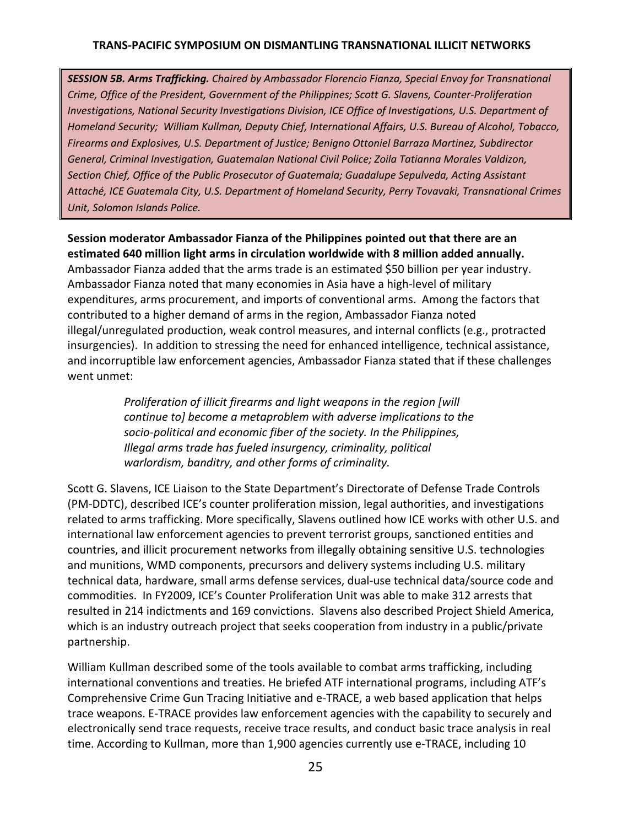*SESSION 5B. Arms Trafficking. Chaired by Ambassador Florencio Fianza, Special Envoy for Transnational Crime, Office of the President, Government of the Philippines; Scott G. Slavens, Counter‐Proliferation Investigations, National Security Investigations Division, ICE Office of Investigations, U.S. Department of Homeland Security; William Kullman, Deputy Chief, International Affairs, U.S. Bureau of Alcohol, Tobacco, Firearms and Explosives, U.S. Department of Justice; Benigno Ottoniel Barraza Martinez, Subdirector General, Criminal Investigation, Guatemalan National Civil Police; Zoila Tatianna Morales Valdizon, Section Chief, Office of the Public Prosecutor of Guatemala; Guadalupe Sepulveda, Acting Assistant Attaché, ICE Guatemala City, U.S. Department of Homeland Security, Perry Tovavaki, Transnational Crimes Unit, Solomon Islands Police.*

**Session moderator Ambassador Fianza of the Philippines pointed out that there are an estimated 640 million light arms in circulation worldwide with 8 million added annually.** Ambassador Fianza added that the arms trade is an estimated \$50 billion per year industry. Ambassador Fianza noted that many economies in Asia have a high‐level of military expenditures, arms procurement, and imports of conventional arms. Among the factors that

contributed to a higher demand of arms in the region, Ambassador Fianza noted illegal/unregulated production, weak control measures, and internal conflicts (e.g., protracted insurgencies). In addition to stressing the need for enhanced intelligence, technical assistance, and incorruptible law enforcement agencies, Ambassador Fianza stated that if these challenges went unmet:

> *Proliferation of illicit firearms and light weapons in the region [will continue to] become a metaproblem with adverse implications to the socio‐political and economic fiber of the society. In the Philippines, Illegal arms trade has fueled insurgency, criminality, political warlordism, banditry, and other forms of criminality.*

Scott G. Slavens, ICE Liaison to the State Department's Directorate of Defense Trade Controls (PM‐DDTC), described ICE's counter proliferation mission, legal authorities, and investigations related to arms trafficking. More specifically, Slavens outlined how ICE works with other U.S. and international law enforcement agencies to prevent terrorist groups, sanctioned entities and countries, and illicit procurement networks from illegally obtaining sensitive U.S. technologies and munitions, WMD components, precursors and delivery systems including U.S. military technical data, hardware, small arms defense services, dual‐use technical data/source code and commodities. In FY2009, ICE's Counter Proliferation Unit was able to make 312 arrests that resulted in 214 indictments and 169 convictions. Slavens also described Project Shield America, which is an industry outreach project that seeks cooperation from industry in a public/private partnership.

William Kullman described some of the tools available to combat arms trafficking, including international conventions and treaties. He briefed ATF international programs, including ATF's Comprehensive Crime Gun Tracing Initiative and e‐TRACE, a web based application that helps trace weapons. E‐TRACE provides law enforcement agencies with the capability to securely and electronically send trace requests, receive trace results, and conduct basic trace analysis in real time. According to Kullman, more than 1,900 agencies currently use e‐TRACE, including 10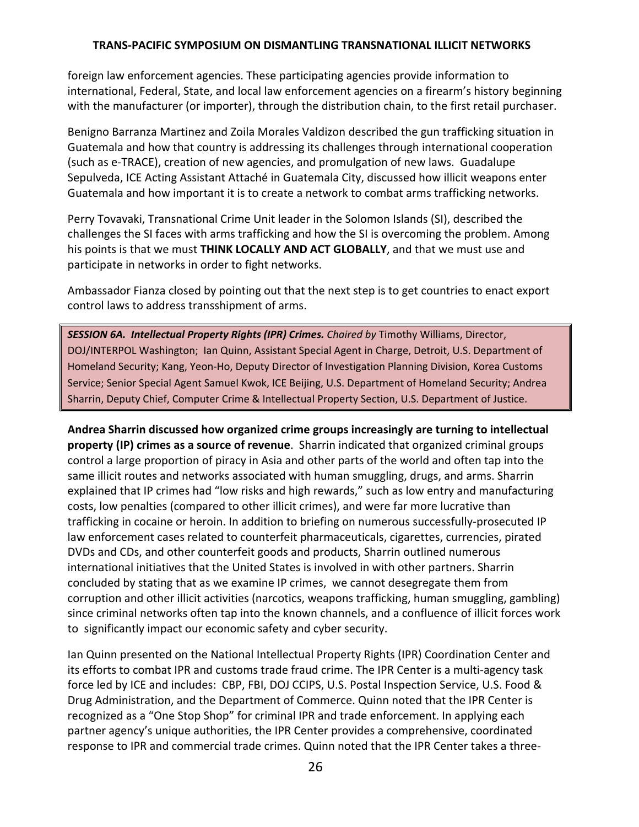foreign law enforcement agencies. These participating agencies provide information to international, Federal, State, and local law enforcement agencies on a firearm's history beginning with the manufacturer (or importer), through the distribution chain, to the first retail purchaser.

Benigno Barranza Martinez and Zoila Morales Valdizon described the gun trafficking situation in Guatemala and how that country is addressing its challenges through international cooperation (such as e‐TRACE), creation of new agencies, and promulgation of new laws. Guadalupe Sepulveda, ICE Acting Assistant Attaché in Guatemala City, discussed how illicit weapons enter Guatemala and how important it is to create a network to combat arms trafficking networks.

Perry Tovavaki, Transnational Crime Unit leader in the Solomon Islands (SI), described the challenges the SI faces with arms trafficking and how the SI is overcoming the problem. Among his points is that we must **THINK LOCALLY AND ACT GLOBALLY**, and that we must use and participate in networks in order to fight networks.

Ambassador Fianza closed by pointing out that the next step is to get countries to enact export control laws to address transshipment of arms.

*SESSION 6A. Intellectual Property Rights (IPR) Crimes. Chaired by* Timothy Williams, Director, DOJ/INTERPOL Washington; Ian Quinn, Assistant Special Agent in Charge, Detroit, U.S. Department of Homeland Security; Kang, Yeon‐Ho, Deputy Director of Investigation Planning Division, Korea Customs Service; Senior Special Agent Samuel Kwok, ICE Beijing, U.S. Department of Homeland Security; Andrea Sharrin, Deputy Chief, Computer Crime & Intellectual Property Section, U.S. Department of Justice.

**Andrea Sharrin discussed how organized crime groups increasingly are turning to intellectual property (IP) crimes as a source of revenue**. Sharrin indicated that organized criminal groups control a large proportion of piracy in Asia and other parts of the world and often tap into the same illicit routes and networks associated with human smuggling, drugs, and arms. Sharrin explained that IP crimes had "low risks and high rewards," such as low entry and manufacturing costs, low penalties (compared to other illicit crimes), and were far more lucrative than trafficking in cocaine or heroin. In addition to briefing on numerous successfully‐prosecuted IP law enforcement cases related to counterfeit pharmaceuticals, cigarettes, currencies, pirated DVDs and CDs, and other counterfeit goods and products, Sharrin outlined numerous international initiatives that the United States is involved in with other partners. Sharrin concluded by stating that as we examine IP crimes, we cannot desegregate them from corruption and other illicit activities (narcotics, weapons trafficking, human smuggling, gambling) since criminal networks often tap into the known channels, and a confluence of illicit forces work to significantly impact our economic safety and cyber security.

Ian Quinn presented on the National Intellectual Property Rights (IPR) Coordination Center and its efforts to combat IPR and customs trade fraud crime. The IPR Center is a multi-agency task force led by ICE and includes: CBP, FBI, DOJ CCIPS, U.S. Postal Inspection Service, U.S. Food & Drug Administration, and the Department of Commerce. Quinn noted that the IPR Center is recognized as a "One Stop Shop" for criminal IPR and trade enforcement. In applying each partner agency's unique authorities, the IPR Center provides a comprehensive, coordinated response to IPR and commercial trade crimes. Quinn noted that the IPR Center takes a three‐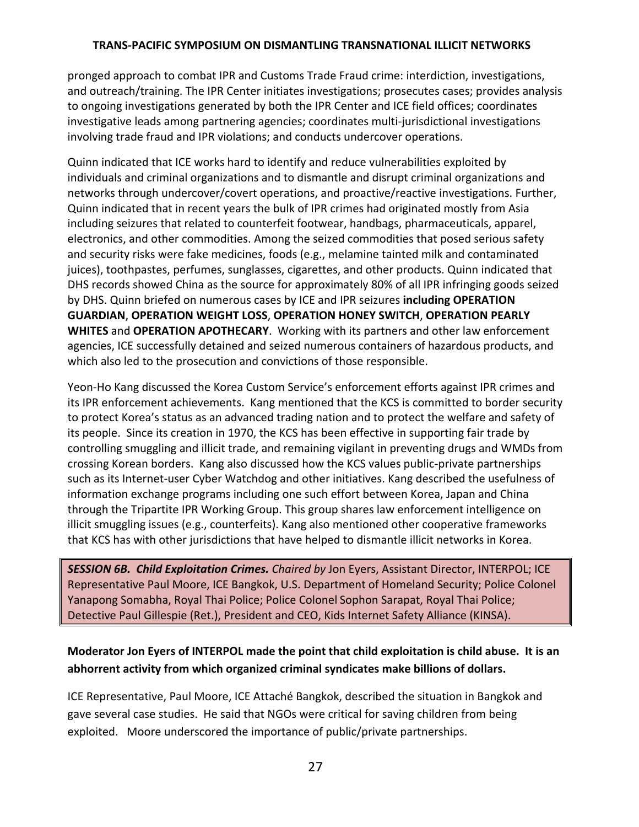pronged approach to combat IPR and Customs Trade Fraud crime: interdiction, investigations, and outreach/training. The IPR Center initiates investigations; prosecutes cases; provides analysis to ongoing investigations generated by both the IPR Center and ICE field offices; coordinates investigative leads among partnering agencies; coordinates multi-jurisdictional investigations involving trade fraud and IPR violations; and conducts undercover operations.

Quinn indicated that ICE works hard to identify and reduce vulnerabilities exploited by individuals and criminal organizations and to dismantle and disrupt criminal organizations and networks through undercover/covert operations, and proactive/reactive investigations. Further, Quinn indicated that in recent years the bulk of IPR crimes had originated mostly from Asia including seizures that related to counterfeit footwear, handbags, pharmaceuticals, apparel, electronics, and other commodities. Among the seized commodities that posed serious safety and security risks were fake medicines, foods (e.g., melamine tainted milk and contaminated juices), toothpastes, perfumes, sunglasses, cigarettes, and other products. Quinn indicated that DHS records showed China as the source for approximately 80% of all IPR infringing goods seized by DHS. Quinn briefed on numerous cases by ICE and IPR seizures **including OPERATION GUARDIAN**, **OPERATION WEIGHT LOSS**, **OPERATION HONEY SWITCH**, **OPERATION PEARLY WHITES** and **OPERATION APOTHECARY**. Working with its partners and other law enforcement agencies, ICE successfully detained and seized numerous containers of hazardous products, and which also led to the prosecution and convictions of those responsible.

Yeon‐Ho Kang discussed the Korea Custom Service's enforcement efforts against IPR crimes and its IPR enforcement achievements. Kang mentioned that the KCS is committed to border security to protect Korea's status as an advanced trading nation and to protect the welfare and safety of its people. Since its creation in 1970, the KCS has been effective in supporting fair trade by controlling smuggling and illicit trade, and remaining vigilant in preventing drugs and WMDs from crossing Korean borders. Kang also discussed how the KCS values public‐private partnerships such as its Internet-user Cyber Watchdog and other initiatives. Kang described the usefulness of information exchange programs including one such effort between Korea, Japan and China through the Tripartite IPR Working Group. This group shares law enforcement intelligence on illicit smuggling issues (e.g., counterfeits). Kang also mentioned other cooperative frameworks that KCS has with other jurisdictions that have helped to dismantle illicit networks in Korea.

*SESSION 6B. Child Exploitation Crimes. Chaired by* Jon Eyers, Assistant Director, INTERPOL; ICE Representative Paul Moore, ICE Bangkok, U.S. Department of Homeland Security; Police Colonel Yanapong Somabha, Royal Thai Police; Police Colonel Sophon Sarapat, Royal Thai Police; Detective Paul Gillespie (Ret.), President and CEO, Kids Internet Safety Alliance (KINSA).

# **Moderator Jon Eyers of INTERPOL made the point that child exploitation is child abuse. It is an abhorrent activity from which organized criminal syndicates make billions of dollars.**

ICE Representative, Paul Moore, ICE Attaché Bangkok, described the situation in Bangkok and gave several case studies. He said that NGOs were critical for saving children from being exploited. Moore underscored the importance of public/private partnerships.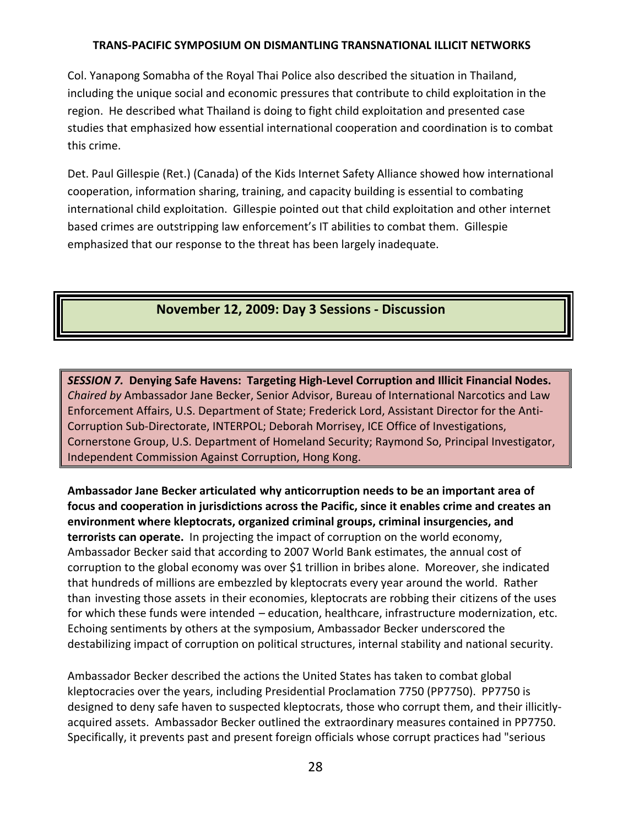Col. Yanapong Somabha of the Royal Thai Police also described the situation in Thailand, including the unique social and economic pressures that contribute to child exploitation in the region. He described what Thailand is doing to fight child exploitation and presented case studies that emphasized how essential international cooperation and coordination is to combat this crime.

Det. Paul Gillespie (Ret.) (Canada) of the Kids Internet Safety Alliance showed how international cooperation, information sharing, training, and capacity building is essential to combating international child exploitation. Gillespie pointed out that child exploitation and other internet based crimes are outstripping law enforcement's IT abilities to combat them. Gillespie emphasized that our response to the threat has been largely inadequate.

# **November 12, 2009: Day 3 Sessions ‐ Discussion**

*SESSION 7.* **Denying Safe Havens: Targeting High‐Level Corruption and Illicit Financial Nodes.**  *Chaired by* Ambassador Jane Becker, Senior Advisor, Bureau of International Narcotics and Law Enforcement Affairs, U.S. Department of State; Frederick Lord, Assistant Director for the Anti‐ Corruption Sub‐Directorate, INTERPOL; Deborah Morrisey, ICE Office of Investigations, Cornerstone Group, U.S. Department of Homeland Security; Raymond So, Principal Investigator, Independent Commission Against Corruption, Hong Kong.

**Ambassador Jane Becker articulated why anticorruption needs to be an important area of focus and cooperation in jurisdictions across the Pacific, since it enables crime and creates an environment where kleptocrats, organized criminal groups, criminal insurgencies, and terrorists can operate.** In projecting the impact of corruption on the world economy, Ambassador Becker said that according to 2007 World Bank estimates, the annual cost of corruption to the global economy was over \$1 trillion in bribes alone. Moreover, she indicated that hundreds of millions are embezzled by kleptocrats every year around the world. Rather than investing those assets in their economies, kleptocrats are robbing their citizens of the uses for which these funds were intended – education, healthcare, infrastructure modernization, etc. Echoing sentiments by others at the symposium, Ambassador Becker underscored the destabilizing impact of corruption on political structures, internal stability and national security.

Ambassador Becker described the actions the United States has taken to combat global kleptocracies over the years, including Presidential Proclamation 7750 (PP7750). PP7750 is designed to deny safe haven to suspected kleptocrats, those who corrupt them, and their illicitly‐ acquired assets. Ambassador Becker outlined the extraordinary measures contained in PP7750. Specifically, it prevents past and present foreign officials whose corrupt practices had "serious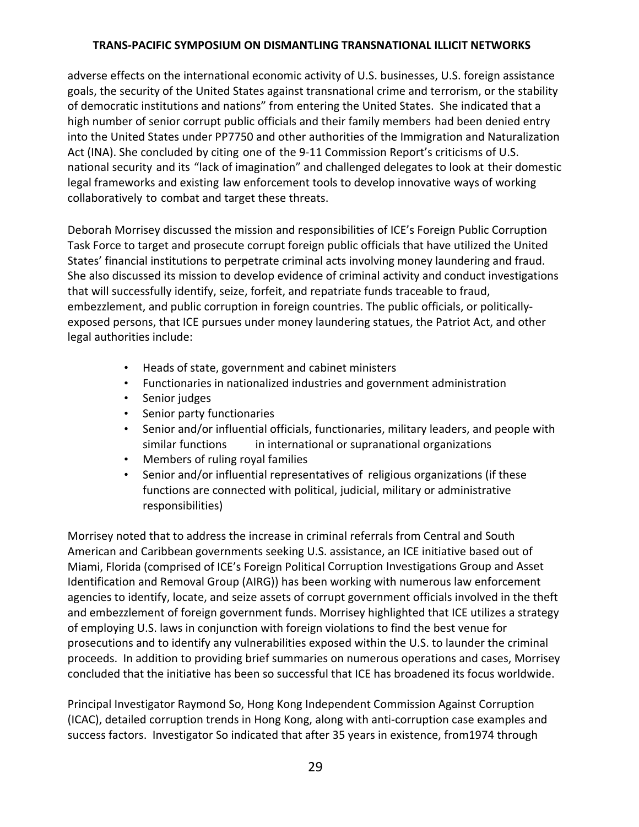adverse effects on the international economic activity of U.S. businesses, U.S. foreign assistance goals, the security of the United States against transnational crime and terrorism, or the stability of democratic institutions and nations" from entering the United States. She indicated that a high number of senior corrupt public officials and their family members had been denied entry into the United States under PP7750 and other authorities of the Immigration and Naturalization Act (INA). She concluded by citing one of the 9-11 Commission Report's criticisms of U.S. national security and its "lack of imagination" and challenged delegates to look at their domestic legal frameworks and existing law enforcement tools to develop innovative ways of working collaboratively to combat and target these threats.

Deborah Morrisey discussed the mission and responsibilities of ICE's Foreign Public Corruption Task Force to target and prosecute corrupt foreign public officials that have utilized the United States' financial institutions to perpetrate criminal acts involving money laundering and fraud. She also discussed its mission to develop evidence of criminal activity and conduct investigations that will successfully identify, seize, forfeit, and repatriate funds traceable to fraud, embezzlement, and public corruption in foreign countries. The public officials, or politically‐ exposed persons, that ICE pursues under money laundering statues, the Patriot Act, and other legal authorities include:

- Heads of state, government and cabinet ministers
- Functionaries in nationalized industries and government administration
- Senior judges
- Senior party functionaries
- Senior and/or influential officials, functionaries, military leaders, and people with similar functions in international or supranational organizations
- Members of ruling royal families
- Senior and/or influential representatives of religious organizations (if these functions are connected with political, judicial, military or administrative responsibilities)

Morrisey noted that to address the increase in criminal referrals from Central and South American and Caribbean governments seeking U.S. assistance, an ICE initiative based out of Miami, Florida (comprised of ICE's Foreign Political Corruption Investigations Group and Asset Identification and Removal Group (AIRG)) has been working with numerous law enforcement agencies to identify, locate, and seize assets of corrupt government officials involved in the theft and embezzlement of foreign government funds. Morrisey highlighted that ICE utilizes a strategy of employing U.S. laws in conjunction with foreign violations to find the best venue for prosecutions and to identify any vulnerabilities exposed within the U.S. to launder the criminal proceeds. In addition to providing brief summaries on numerous operations and cases, Morrisey concluded that the initiative has been so successful that ICE has broadened its focus worldwide.

Principal Investigator Raymond So, Hong Kong Independent Commission Against Corruption (ICAC), detailed corruption trends in Hong Kong, along with anti‐corruption case examples and success factors. Investigator So indicated that after 35 years in existence, from1974 through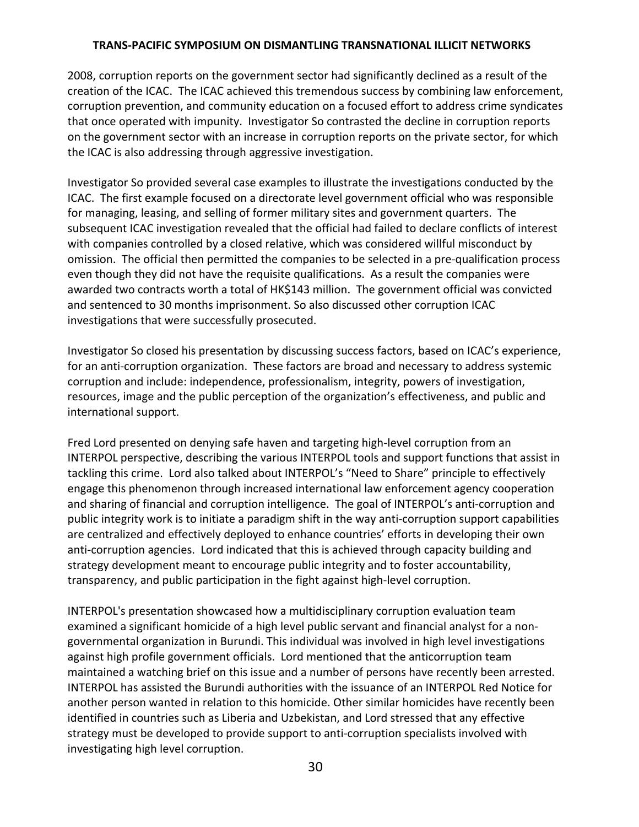2008, corruption reports on the government sector had significantly declined as a result of the creation of the ICAC. The ICAC achieved this tremendous success by combining law enforcement, corruption prevention, and community education on a focused effort to address crime syndicates that once operated with impunity. Investigator So contrasted the decline in corruption reports on the government sector with an increase in corruption reports on the private sector, for which the ICAC is also addressing through aggressive investigation.

Investigator So provided several case examples to illustrate the investigations conducted by the ICAC. The first example focused on a directorate level government official who was responsible for managing, leasing, and selling of former military sites and government quarters. The subsequent ICAC investigation revealed that the official had failed to declare conflicts of interest with companies controlled by a closed relative, which was considered willful misconduct by omission. The official then permitted the companies to be selected in a pre‐qualification process even though they did not have the requisite qualifications. As a result the companies were awarded two contracts worth a total of HK\$143 million. The government official was convicted and sentenced to 30 months imprisonment. So also discussed other corruption ICAC investigations that were successfully prosecuted.

Investigator So closed his presentation by discussing success factors, based on ICAC's experience, for an anti-corruption organization. These factors are broad and necessary to address systemic corruption and include: independence, professionalism, integrity, powers of investigation, resources, image and the public perception of the organization's effectiveness, and public and international support.

Fred Lord presented on denying safe haven and targeting high‐level corruption from an INTERPOL perspective, describing the various INTERPOL tools and support functions that assist in tackling this crime. Lord also talked about INTERPOL's "Need to Share" principle to effectively engage this phenomenon through increased international law enforcement agency cooperation and sharing of financial and corruption intelligence. The goal of INTERPOL's anti‐corruption and public integrity work is to initiate a paradigm shift in the way anti-corruption support capabilities are centralized and effectively deployed to enhance countries' efforts in developing their own anti-corruption agencies. Lord indicated that this is achieved through capacity building and strategy development meant to encourage public integrity and to foster accountability, transparency, and public participation in the fight against high‐level corruption.

INTERPOL's presentation showcased how a multidisciplinary corruption evaluation team examined a significant homicide of a high level public servant and financial analyst for a non‐ governmental organization in Burundi. This individual was involved in high level investigations against high profile government officials. Lord mentioned that the anticorruption team maintained a watching brief on this issue and a number of persons have recently been arrested. INTERPOL has assisted the Burundi authorities with the issuance of an INTERPOL Red Notice for another person wanted in relation to this homicide. Other similar homicides have recently been identified in countries such as Liberia and Uzbekistan, and Lord stressed that any effective strategy must be developed to provide support to anti‐corruption specialists involved with investigating high level corruption.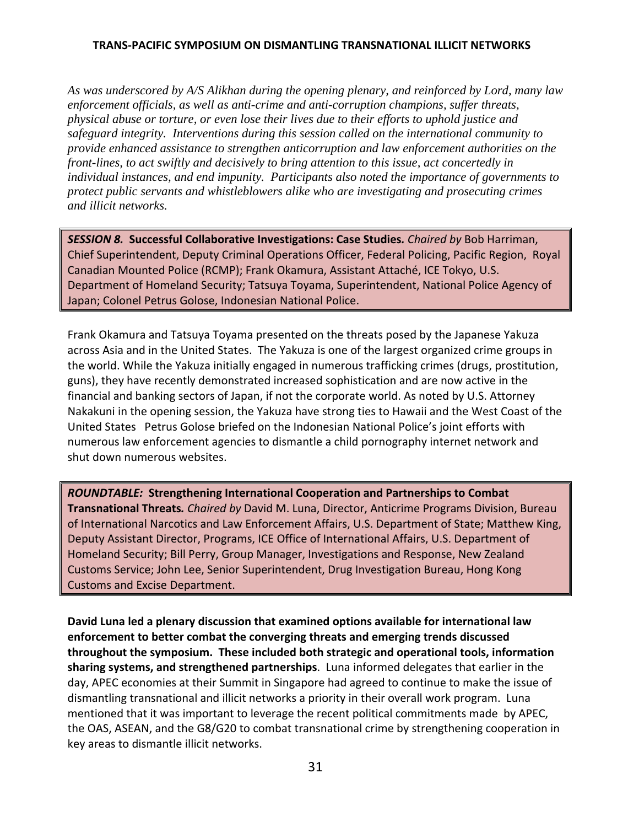*As was underscored by A/S Alikhan during the opening plenary, and reinforced by Lord, many law enforcement officials, as well as anti-crime and anti-corruption champions, suffer threats, physical abuse or torture, or even lose their lives due to their efforts to uphold justice and safeguard integrity. Interventions during this session called on the international community to provide enhanced assistance to strengthen anticorruption and law enforcement authorities on the front-lines, to act swiftly and decisively to bring attention to this issue, act concertedly in individual instances, and end impunity. Participants also noted the importance of governments to protect public servants and whistleblowers alike who are investigating and prosecuting crimes and illicit networks.*

*SESSION 8.* **Successful Collaborative Investigations: Case Studies***. Chaired by* Bob Harriman, Chief Superintendent, Deputy Criminal Operations Officer, Federal Policing, Pacific Region, Royal Canadian Mounted Police (RCMP); Frank Okamura, Assistant Attaché, ICE Tokyo, U.S. Department of Homeland Security; Tatsuya Toyama, Superintendent, National Police Agency of Japan; Colonel Petrus Golose, Indonesian National Police.

Frank Okamura and Tatsuya Toyama presented on the threats posed by the Japanese Yakuza across Asia and in the United States. The Yakuza is one of the largest organized crime groups in the world. While the Yakuza initially engaged in numerous trafficking crimes (drugs, prostitution, guns), they have recently demonstrated increased sophistication and are now active in the financial and banking sectors of Japan, if not the corporate world. As noted by U.S. Attorney Nakakuni in the opening session, the Yakuza have strong ties to Hawaii and the West Coast of the United States Petrus Golose briefed on the Indonesian National Police's joint efforts with numerous law enforcement agencies to dismantle a child pornography internet network and shut down numerous websites.

*ROUNDTABLE:* **Strengthening International Cooperation and Partnerships to Combat Transnational Threats***. Chaired by* David M. Luna, Director, Anticrime Programs Division, Bureau of International Narcotics and Law Enforcement Affairs, U.S. Department of State; Matthew King, Deputy Assistant Director, Programs, ICE Office of International Affairs, U.S. Department of Homeland Security; Bill Perry, Group Manager, Investigations and Response, New Zealand Customs Service; John Lee, Senior Superintendent, Drug Investigation Bureau, Hong Kong Customs and Excise Department.

**David Luna led a plenary discussion that examined options available for international law enforcement to better combat the converging threats and emerging trends discussed throughout the symposium. These included both strategic and operational tools, information sharing systems, and strengthened partnerships**. Luna informed delegates that earlier in the day, APEC economies at their Summit in Singapore had agreed to continue to make the issue of dismantling transnational and illicit networks a priority in their overall work program. Luna mentioned that it was important to leverage the recent political commitments made by APEC, the OAS, ASEAN, and the G8/G20 to combat transnational crime by strengthening cooperation in key areas to dismantle illicit networks.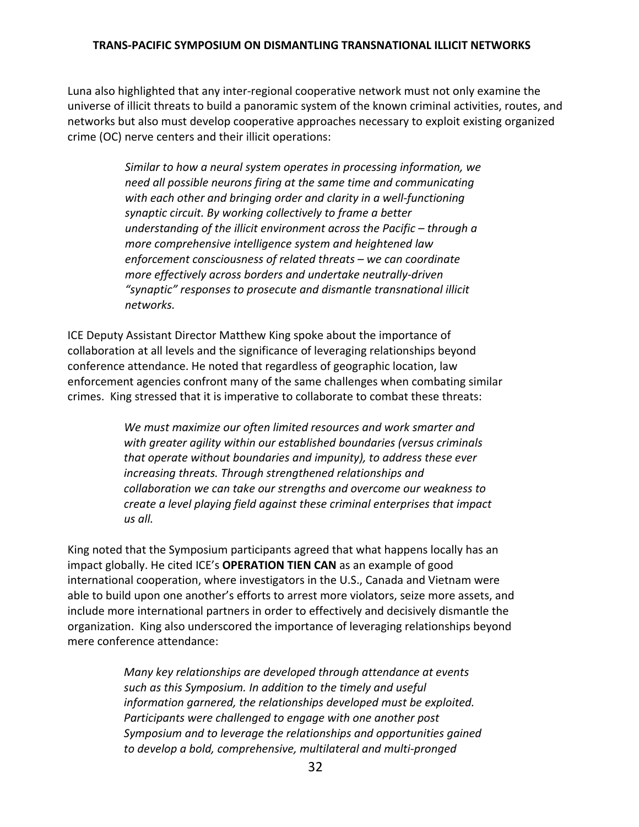Luna also highlighted that any inter‐regional cooperative network must not only examine the universe of illicit threats to build a panoramic system of the known criminal activities, routes, and networks but also must develop cooperative approaches necessary to exploit existing organized crime (OC) nerve centers and their illicit operations:

> *Similar to how a neural system operates in processing information, we need all possible neurons firing at the same time and communicating with each other and bringing order and clarity in a well‐functioning synaptic circuit. By working collectively to frame a better understanding of the illicit environment across the Pacific – through a more comprehensive intelligence system and heightened law enforcement consciousness of related threats – we can coordinate more effectively across borders and undertake neutrally‐driven "synaptic" responses to prosecute and dismantle transnational illicit networks.*

ICE Deputy Assistant Director Matthew King spoke about the importance of collaboration at all levels and the significance of leveraging relationships beyond conference attendance. He noted that regardless of geographic location, law enforcement agencies confront many of the same challenges when combating similar crimes. King stressed that it is imperative to collaborate to combat these threats:

> *We must maximize our often limited resources and work smarter and with greater agility within our established boundaries (versus criminals that operate without boundaries and impunity), to address these ever increasing threats. Through strengthened relationships and collaboration we can take our strengths and overcome our weakness to create a level playing field against these criminal enterprises that impact us all.*

King noted that the Symposium participants agreed that what happens locally has an impact globally. He cited ICE's **OPERATION TIEN CAN** as an example of good international cooperation, where investigators in the U.S., Canada and Vietnam were able to build upon one another's efforts to arrest more violators, seize more assets, and include more international partners in order to effectively and decisively dismantle the organization. King also underscored the importance of leveraging relationships beyond mere conference attendance:

> *Many key relationships are developed through attendance at events such as this Symposium. In addition to the timely and useful information garnered, the relationships developed must be exploited. Participants were challenged to engage with one another post Symposium and to leverage the relationships and opportunities gained to develop a bold, comprehensive, multilateral and multi‐pronged*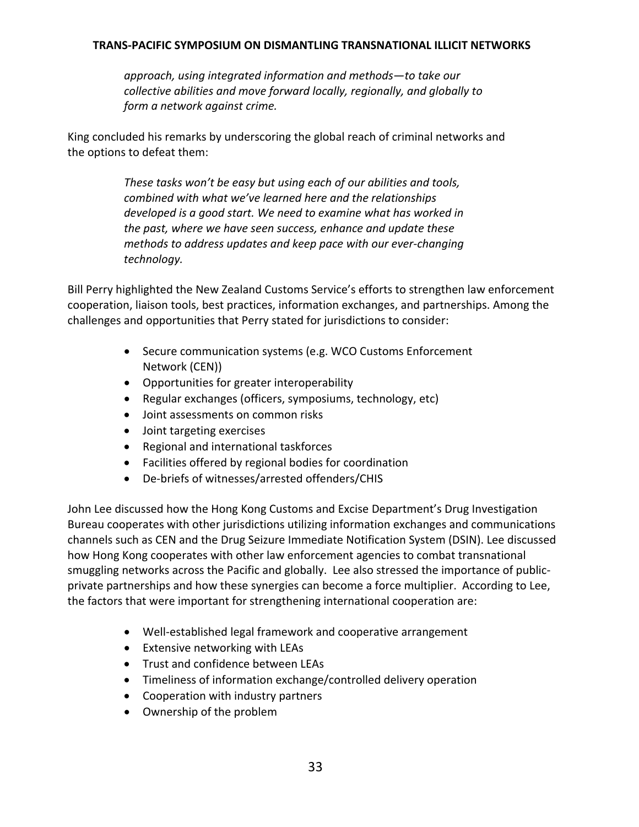*approach, using integrated information and methods—to take our collective abilities and move forward locally, regionally, and globally to form a network against crime.* 

King concluded his remarks by underscoring the global reach of criminal networks and the options to defeat them:

> *These tasks won't be easy but using each of our abilities and tools, combined with what we've learned here and the relationships developed is a good start. We need to examine what has worked in the past, where we have seen success, enhance and update these methods to address updates and keep pace with our ever‐changing technology.*

Bill Perry highlighted the New Zealand Customs Service's efforts to strengthen law enforcement cooperation, liaison tools, best practices, information exchanges, and partnerships. Among the challenges and opportunities that Perry stated for jurisdictions to consider:

- Secure communication systems (e.g. WCO Customs Enforcement Network (CEN))
- Opportunities for greater interoperability
- Regular exchanges (officers, symposiums, technology, etc)
- Joint assessments on common risks
- Joint targeting exercises
- Regional and international taskforces
- Facilities offered by regional bodies for coordination
- De-briefs of witnesses/arrested offenders/CHIS

John Lee discussed how the Hong Kong Customs and Excise Department's Drug Investigation Bureau cooperates with other jurisdictions utilizing information exchanges and communications channels such as CEN and the Drug Seizure Immediate Notification System (DSIN). Lee discussed how Hong Kong cooperates with other law enforcement agencies to combat transnational smuggling networks across the Pacific and globally. Lee also stressed the importance of public‐ private partnerships and how these synergies can become a force multiplier. According to Lee, the factors that were important for strengthening international cooperation are:

- Well-established legal framework and cooperative arrangement
- Extensive networking with LEAs
- Trust and confidence between LEAs
- Timeliness of information exchange/controlled delivery operation
- Cooperation with industry partners
- Ownership of the problem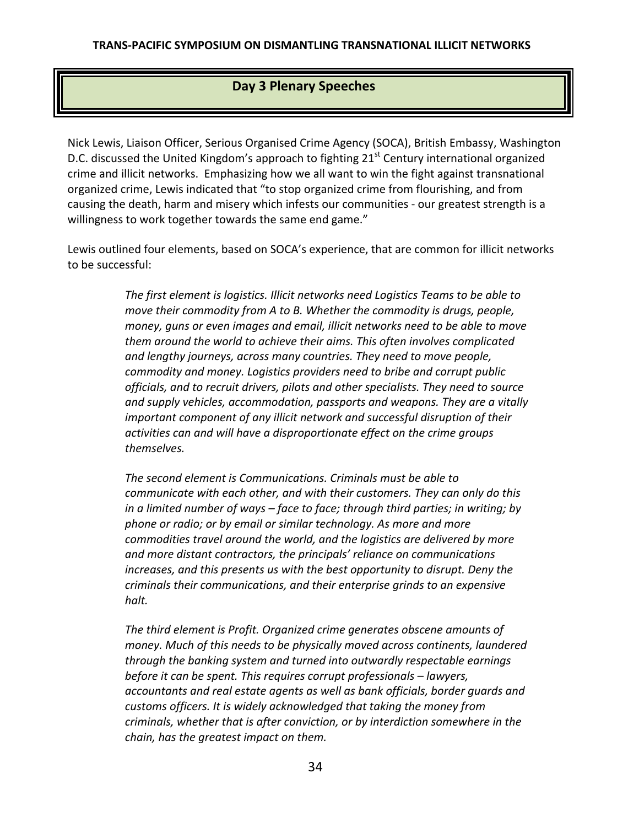# **Day 3 Plenary Speeches**

Nick Lewis, Liaison Officer, Serious Organised Crime Agency (SOCA), British Embassy, Washington D.C. discussed the United Kingdom's approach to fighting  $21<sup>st</sup>$  Century international organized crime and illicit networks. Emphasizing how we all want to win the fight against transnational organized crime, Lewis indicated that "to stop organized crime from flourishing, and from causing the death, harm and misery which infests our communities ‐ our greatest strength is a willingness to work together towards the same end game."

Lewis outlined four elements, based on SOCA's experience, that are common for illicit networks to be successful:

> *The first element is logistics. Illicit networks need Logistics Teams to be able to move their commodity from A to B. Whether the commodity is drugs, people, money, guns or even images and email, illicit networks need to be able to move them around the world to achieve their aims. This often involves complicated and lengthy journeys, across many countries. They need to move people, commodity and money. Logistics providers need to bribe and corrupt public officials, and to recruit drivers, pilots and other specialists. They need to source and supply vehicles, accommodation, passports and weapons. They are a vitally important component of any illicit network and successful disruption of their activities can and will have a disproportionate effect on the crime groups themselves.*

*The second element is Communications. Criminals must be able to communicate with each other, and with their customers. They can only do this in a limited number of ways – face to face; through third parties; in writing; by phone or radio; or by email or similar technology. As more and more commodities travel around the world, and the logistics are delivered by more and more distant contractors, the principals' reliance on communications increases, and this presents us with the best opportunity to disrupt. Deny the criminals their communications, and their enterprise grinds to an expensive halt.*

*The third element is Profit. Organized crime generates obscene amounts of money. Much of this needs to be physically moved across continents, laundered through the banking system and turned into outwardly respectable earnings before it can be spent. This requires corrupt professionals – lawyers, accountants and real estate agents as well as bank officials, border guards and customs officers. It is widely acknowledged that taking the money from criminals, whether that is after conviction, or by interdiction somewhere in the chain, has the greatest impact on them.*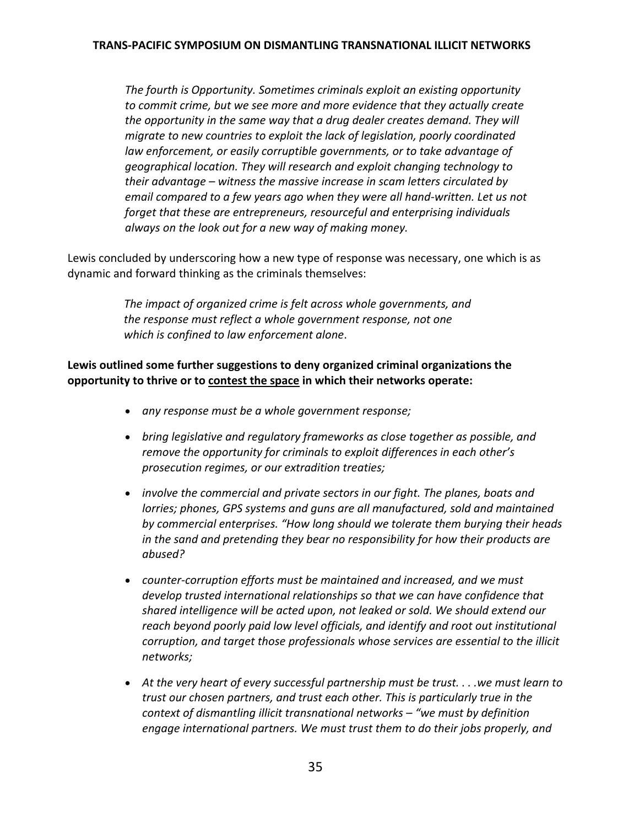*The fourth is Opportunity. Sometimes criminals exploit an existing opportunity to commit crime, but we see more and more evidence that they actually create the opportunity in the same way that a drug dealer creates demand. They will migrate to new countries to exploit the lack of legislation, poorly coordinated law enforcement, or easily corruptible governments, or to take advantage of geographical location. They will research and exploit changing technology to their advantage – witness the massive increase in scam letters circulated by email compared to a few years ago when they were all hand‐written. Let us not forget that these are entrepreneurs, resourceful and enterprising individuals always on the look out for a new way of making money.*

Lewis concluded by underscoring how a new type of response was necessary, one which is as dynamic and forward thinking as the criminals themselves:

> *The impact of organized crime is felt across whole governments, and the response must reflect a whole government response, not one which is confined to law enforcement alone*.

**Lewis outlined some further suggestions to deny organized criminal organizations the opportunity to thrive or to contest the space in which their networks operate:**

- *any response must be a whole government response;*
- *bring legislative and regulatory frameworks as close together as possible, and remove the opportunity for criminals to exploit differences in each other's prosecution regimes, or our extradition treaties;*
- *involve the commercial and private sectors in our fight. The planes, boats and lorries; phones, GPS systems and guns are all manufactured, sold and maintained by commercial enterprises. "How long should we tolerate them burying their heads in the sand and pretending they bear no responsibility for how their products are abused?*
- *counter‐corruption efforts must be maintained and increased, and we must develop trusted international relationships so that we can have confidence that shared intelligence will be acted upon, not leaked or sold. We should extend our reach beyond poorly paid low level officials, and identify and root out institutional corruption, and target those professionals whose services are essential to the illicit networks;*
- *At the very heart of every successful partnership must be trust. . . .we must learn to trust our chosen partners, and trust each other. This is particularly true in the context of dismantling illicit transnational networks – "we must by definition engage international partners. We must trust them to do their jobs properly, and*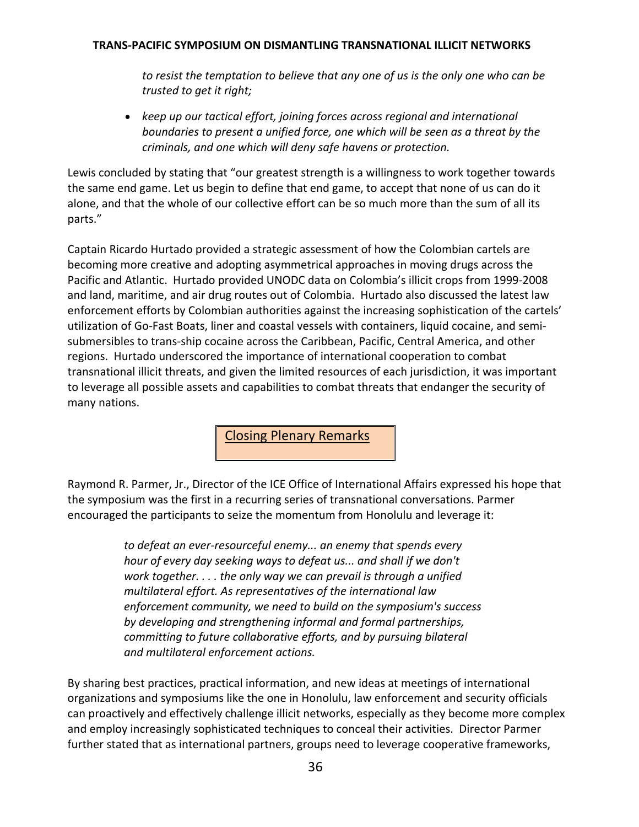*to resist the temptation to believe that any one of us is the only one who can be trusted to get it right;*

 *keep up our tactical effort, joining forces across regional and international boundaries to present a unified force, one which will be seen as a threat by the criminals, and one which will deny safe havens or protection.*

Lewis concluded by stating that "our greatest strength is a willingness to work together towards the same end game. Let us begin to define that end game, to accept that none of us can do it alone, and that the whole of our collective effort can be so much more than the sum of all its parts."

Captain Ricardo Hurtado provided a strategic assessment of how the Colombian cartels are becoming more creative and adopting asymmetrical approaches in moving drugs across the Pacific and Atlantic. Hurtado provided UNODC data on Colombia's illicit crops from 1999‐2008 and land, maritime, and air drug routes out of Colombia. Hurtado also discussed the latest law enforcement efforts by Colombian authorities against the increasing sophistication of the cartels' utilization of Go‐Fast Boats, liner and coastal vessels with containers, liquid cocaine, and semi‐ submersibles to trans‐ship cocaine across the Caribbean, Pacific, Central America, and other regions. Hurtado underscored the importance of international cooperation to combat transnational illicit threats, and given the limited resources of each jurisdiction, it was important to leverage all possible assets and capabilities to combat threats that endanger the security of many nations.

Closing Plenary Remarks

Raymond R. Parmer, Jr., Director of the ICE Office of International Affairs expressed his hope that the symposium was the first in a recurring series of transnational conversations. Parmer encouraged the participants to seize the momentum from Honolulu and leverage it:

> *to defeat an ever‐resourceful enemy... an enemy that spends every hour of every day seeking ways to defeat us... and shall if we don't work together. . . . the only way we can prevail is through a unified multilateral effort. As representatives of the international law enforcement community, we need to build on the symposium's success by developing and strengthening informal and formal partnerships, committing to future collaborative efforts, and by pursuing bilateral and multilateral enforcement actions.*

By sharing best practices, practical information, and new ideas at meetings of international organizations and symposiums like the one in Honolulu, law enforcement and security officials can proactively and effectively challenge illicit networks, especially as they become more complex and employ increasingly sophisticated techniques to conceal their activities. Director Parmer further stated that as international partners, groups need to leverage cooperative frameworks,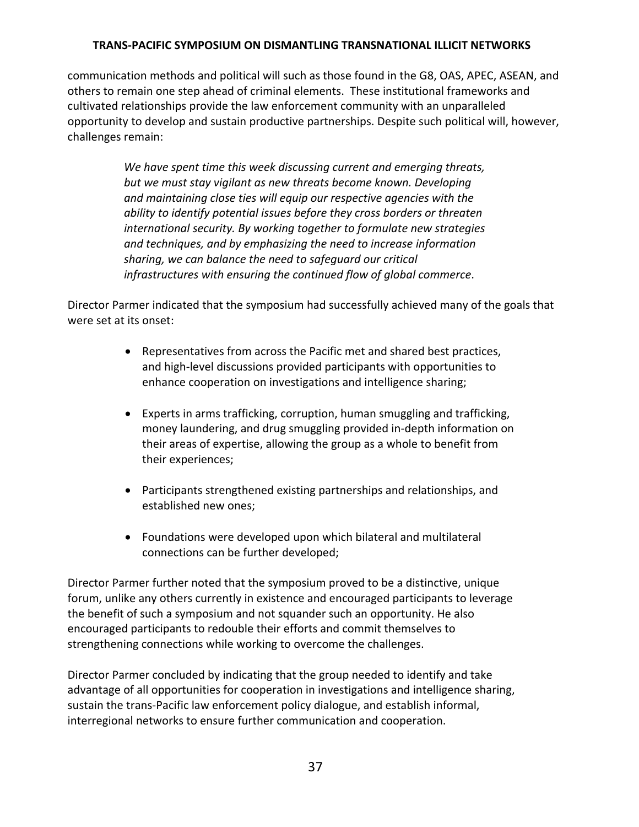communication methods and political will such as those found in the G8, OAS, APEC, ASEAN, and others to remain one step ahead of criminal elements. These institutional frameworks and cultivated relationships provide the law enforcement community with an unparalleled opportunity to develop and sustain productive partnerships. Despite such political will, however, challenges remain:

> *We have spent time this week discussing current and emerging threats, but we must stay vigilant as new threats become known. Developing and maintaining close ties will equip our respective agencies with the ability to identify potential issues before they cross borders or threaten international security. By working together to formulate new strategies and techniques, and by emphasizing the need to increase information sharing, we can balance the need to safeguard our critical infrastructures with ensuring the continued flow of global commerce*.

Director Parmer indicated that the symposium had successfully achieved many of the goals that were set at its onset:

- Representatives from across the Pacific met and shared best practices, and high‐level discussions provided participants with opportunities to enhance cooperation on investigations and intelligence sharing;
- Experts in arms trafficking, corruption, human smuggling and trafficking, money laundering, and drug smuggling provided in‐depth information on their areas of expertise, allowing the group as a whole to benefit from their experiences;
- Participants strengthened existing partnerships and relationships, and established new ones;
- Foundations were developed upon which bilateral and multilateral connections can be further developed;

Director Parmer further noted that the symposium proved to be a distinctive, unique forum, unlike any others currently in existence and encouraged participants to leverage the benefit of such a symposium and not squander such an opportunity. He also encouraged participants to redouble their efforts and commit themselves to strengthening connections while working to overcome the challenges.

Director Parmer concluded by indicating that the group needed to identify and take advantage of all opportunities for cooperation in investigations and intelligence sharing, sustain the trans‐Pacific law enforcement policy dialogue, and establish informal, interregional networks to ensure further communication and cooperation.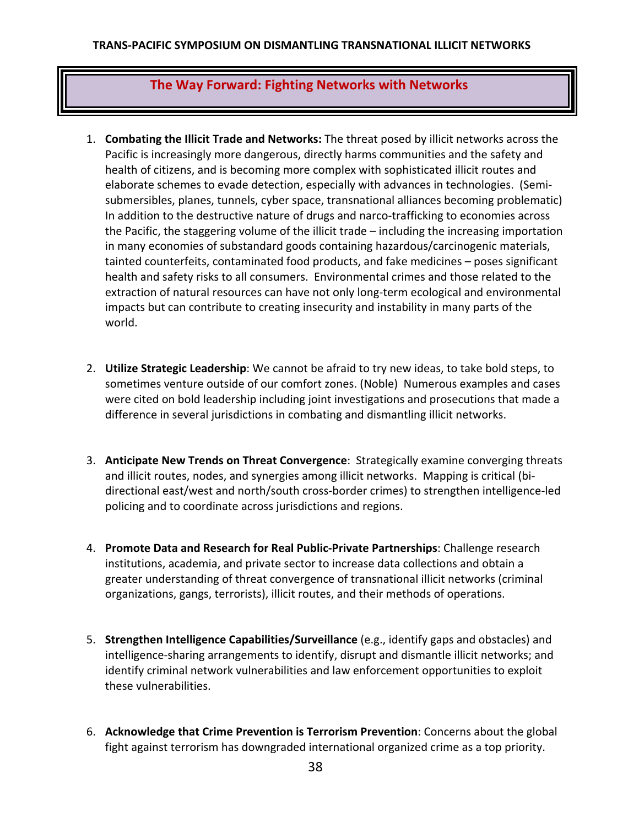# **The Way Forward: Fighting Networks with Networks**

- 1. **Combating the Illicit Trade and Networks:** The threat posed by illicit networks across the Pacific is increasingly more dangerous, directly harms communities and the safety and health of citizens, and is becoming more complex with sophisticated illicit routes and elaborate schemes to evade detection, especially with advances in technologies. (Semi‐ submersibles, planes, tunnels, cyber space, transnational alliances becoming problematic) In addition to the destructive nature of drugs and narco-trafficking to economies across the Pacific, the staggering volume of the illicit trade – including the increasing importation in many economies of substandard goods containing hazardous/carcinogenic materials, tainted counterfeits, contaminated food products, and fake medicines – poses significant health and safety risks to all consumers. Environmental crimes and those related to the extraction of natural resources can have not only long-term ecological and environmental impacts but can contribute to creating insecurity and instability in many parts of the world.
- 2. **Utilize Strategic Leadership**: We cannot be afraid to try new ideas, to take bold steps, to sometimes venture outside of our comfort zones. (Noble) Numerous examples and cases were cited on bold leadership including joint investigations and prosecutions that made a difference in several jurisdictions in combating and dismantling illicit networks.
- 3. **Anticipate New Trends on Threat Convergence**: Strategically examine converging threats and illicit routes, nodes, and synergies among illicit networks. Mapping is critical (bi‐ directional east/west and north/south cross‐border crimes) to strengthen intelligence‐led policing and to coordinate across jurisdictions and regions.
- 4. **Promote Data and Research for Real Public‐Private Partnerships**: Challenge research institutions, academia, and private sector to increase data collections and obtain a greater understanding of threat convergence of transnational illicit networks (criminal organizations, gangs, terrorists), illicit routes, and their methods of operations.
- 5. **Strengthen Intelligence Capabilities/Surveillance** (e.g., identify gaps and obstacles) and intelligence‐sharing arrangements to identify, disrupt and dismantle illicit networks; and identify criminal network vulnerabilities and law enforcement opportunities to exploit these vulnerabilities.
- 6. **Acknowledge that Crime Prevention is Terrorism Prevention**: Concerns about the global fight against terrorism has downgraded international organized crime as a top priority.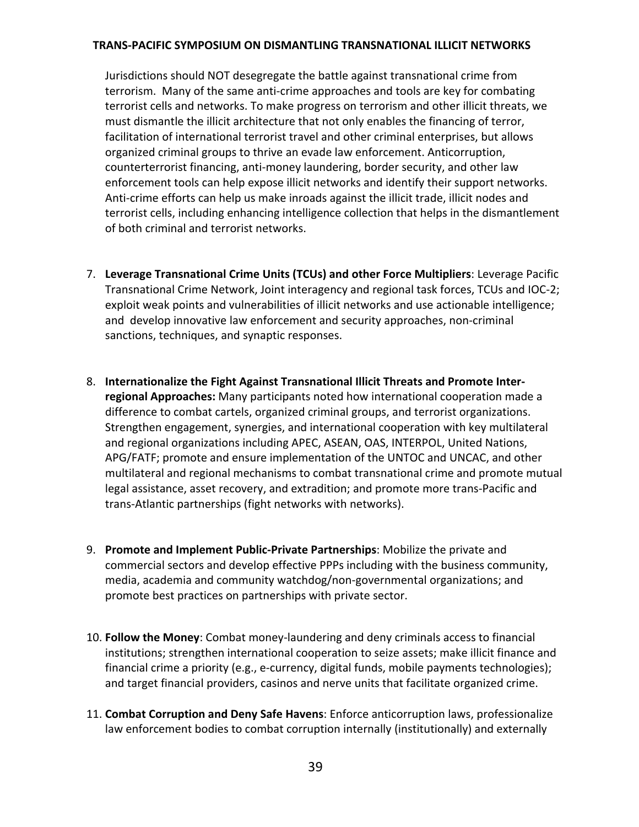Jurisdictions should NOT desegregate the battle against transnational crime from terrorism. Many of the same anti‐crime approaches and tools are key for combating terrorist cells and networks. To make progress on terrorism and other illicit threats, we must dismantle the illicit architecture that not only enables the financing of terror, facilitation of international terrorist travel and other criminal enterprises, but allows organized criminal groups to thrive an evade law enforcement. Anticorruption, counterterrorist financing, anti‐money laundering, border security, and other law enforcement tools can help expose illicit networks and identify their support networks. Anti-crime efforts can help us make inroads against the illicit trade, illicit nodes and terrorist cells, including enhancing intelligence collection that helps in the dismantlement of both criminal and terrorist networks.

- 7. **Leverage Transnational Crime Units (TCUs) and other Force Multipliers**: Leverage Pacific Transnational Crime Network, Joint interagency and regional task forces, TCUs and IOC‐2; exploit weak points and vulnerabilities of illicit networks and use actionable intelligence; and develop innovative law enforcement and security approaches, non‐criminal sanctions, techniques, and synaptic responses.
- 8. **Internationalize the Fight Against Transnational Illicit Threats and Promote Inter‐ regional Approaches:** Many participants noted how international cooperation made a difference to combat cartels, organized criminal groups, and terrorist organizations. Strengthen engagement, synergies, and international cooperation with key multilateral and regional organizations including APEC, ASEAN, OAS, INTERPOL, United Nations, APG/FATF; promote and ensure implementation of the UNTOC and UNCAC, and other multilateral and regional mechanisms to combat transnational crime and promote mutual legal assistance, asset recovery, and extradition; and promote more trans‐Pacific and trans‐Atlantic partnerships (fight networks with networks).
- 9. **Promote and Implement Public‐Private Partnerships**: Mobilize the private and commercial sectors and develop effective PPPs including with the business community, media, academia and community watchdog/non‐governmental organizations; and promote best practices on partnerships with private sector.
- 10. **Follow the Money**: Combat money‐laundering and deny criminals access to financial institutions; strengthen international cooperation to seize assets; make illicit finance and financial crime a priority (e.g., e-currency, digital funds, mobile payments technologies); and target financial providers, casinos and nerve units that facilitate organized crime.
- 11. **Combat Corruption and Deny Safe Havens**: Enforce anticorruption laws, professionalize law enforcement bodies to combat corruption internally (institutionally) and externally